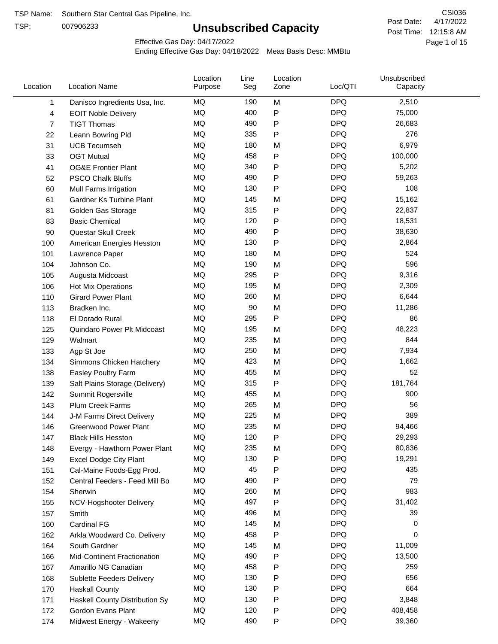TSP:

# **Unsubscribed Capacity**

4/17/2022 Page 1 of 15 Post Time: 12:15:8 AM CSI036 Post Date:

Effective Gas Day: 04/17/2022

| Location       | <b>Location Name</b>               | Location<br>Purpose | Line<br>Seg | Location<br>Zone | Loc/QTI    | Unsubscribed<br>Capacity |  |
|----------------|------------------------------------|---------------------|-------------|------------------|------------|--------------------------|--|
| 1              | Danisco Ingredients Usa, Inc.      | MQ                  | 190         | M                | <b>DPQ</b> | 2,510                    |  |
| 4              | <b>EOIT Noble Delivery</b>         | <b>MQ</b>           | 400         | P                | <b>DPQ</b> | 75,000                   |  |
| $\overline{7}$ | <b>TIGT Thomas</b>                 | <b>MQ</b>           | 490         | P                | <b>DPQ</b> | 26,683                   |  |
| 22             | Leann Bowring Pld                  | <b>MQ</b>           | 335         | Ρ                | <b>DPQ</b> | 276                      |  |
| 31             | <b>UCB Tecumseh</b>                | <b>MQ</b>           | 180         | M                | <b>DPQ</b> | 6,979                    |  |
| 33             | <b>OGT Mutual</b>                  | <b>MQ</b>           | 458         | P                | <b>DPQ</b> | 100,000                  |  |
| 41             | <b>OG&amp;E Frontier Plant</b>     | MQ                  | 340         | P                | <b>DPQ</b> | 5,202                    |  |
| 52             | <b>PSCO Chalk Bluffs</b>           | MQ                  | 490         | Ρ                | <b>DPQ</b> | 59,263                   |  |
| 60             | Mull Farms Irrigation              | <b>MQ</b>           | 130         | Ρ                | <b>DPQ</b> | 108                      |  |
| 61             | Gardner Ks Turbine Plant           | <b>MQ</b>           | 145         | M                | <b>DPQ</b> | 15,162                   |  |
| 81             | Golden Gas Storage                 | MQ                  | 315         | P                | <b>DPQ</b> | 22,837                   |  |
| 83             | <b>Basic Chemical</b>              | MQ                  | 120         | P                | <b>DPQ</b> | 18,531                   |  |
| 90             | Questar Skull Creek                | MQ                  | 490         | Ρ                | <b>DPQ</b> | 38,630                   |  |
| 100            | American Energies Hesston          | <b>MQ</b>           | 130         | Ρ                | <b>DPQ</b> | 2,864                    |  |
| 101            | Lawrence Paper                     | <b>MQ</b>           | 180         | M                | <b>DPQ</b> | 524                      |  |
| 104            | Johnson Co.                        | MQ                  | 190         | M                | <b>DPQ</b> | 596                      |  |
| 105            | Augusta Midcoast                   | <b>MQ</b>           | 295         | P                | <b>DPQ</b> | 9,316                    |  |
| 106            | Hot Mix Operations                 | <b>MQ</b>           | 195         | M                | <b>DPQ</b> | 2,309                    |  |
| 110            | <b>Girard Power Plant</b>          | <b>MQ</b>           | 260         | M                | <b>DPQ</b> | 6,644                    |  |
| 113            | Bradken Inc.                       | <b>MQ</b>           | 90          | M                | <b>DPQ</b> | 11,286                   |  |
| 118            | El Dorado Rural                    | MQ                  | 295         | P                | <b>DPQ</b> | 86                       |  |
| 125            | Quindaro Power Plt Midcoast        | MQ                  | 195         | M                | <b>DPQ</b> | 48,223                   |  |
| 129            | Walmart                            | <b>MQ</b>           | 235         | M                | <b>DPQ</b> | 844                      |  |
| 133            | Agp St Joe                         | <b>MQ</b>           | 250         | M                | <b>DPQ</b> | 7,934                    |  |
| 134            | Simmons Chicken Hatchery           | <b>MQ</b>           | 423         | M                | <b>DPQ</b> | 1,662                    |  |
| 138            | Easley Poultry Farm                | <b>MQ</b>           | 455         | M                | <b>DPQ</b> | 52                       |  |
| 139            | Salt Plains Storage (Delivery)     | <b>MQ</b>           | 315         | Ρ                | <b>DPQ</b> | 181,764                  |  |
| 142            | Summit Rogersville                 | MQ                  | 455         | M                | <b>DPQ</b> | 900                      |  |
| 143            | <b>Plum Creek Farms</b>            | MQ                  | 265         | M                | <b>DPQ</b> | 56                       |  |
| 144            | J-M Farms Direct Delivery          | MQ                  | 225         | M                | <b>DPQ</b> | 389                      |  |
| 146            | <b>Greenwood Power Plant</b>       | <b>MQ</b>           | 235         | M                | <b>DPQ</b> | 94,466                   |  |
| 147            | <b>Black Hills Hesston</b>         | MQ                  | 120         | P                | <b>DPQ</b> | 29,293                   |  |
| 148            | Evergy - Hawthorn Power Plant      | MQ                  | 235         | M                | <b>DPQ</b> | 80,836                   |  |
| 149            | <b>Excel Dodge City Plant</b>      | MQ                  | 130         | Ρ                | <b>DPQ</b> | 19,291                   |  |
| 151            | Cal-Maine Foods-Egg Prod.          | MQ                  | 45          | Ρ                | <b>DPQ</b> | 435                      |  |
| 152            | Central Feeders - Feed Mill Bo     | MQ                  | 490         | Ρ                | <b>DPQ</b> | 79                       |  |
| 154            | Sherwin                            | MQ                  | 260         | M                | <b>DPQ</b> | 983                      |  |
| 155            | NCV-Hogshooter Delivery            | MQ                  | 497         | Ρ                | <b>DPQ</b> | 31,402                   |  |
| 157            | Smith                              | MQ                  | 496         | M                | <b>DPQ</b> | 39                       |  |
| 160            | Cardinal FG                        | <b>MQ</b>           | 145         | M                | <b>DPQ</b> | 0                        |  |
| 162            | Arkla Woodward Co. Delivery        | MQ                  | 458         | Ρ                | <b>DPQ</b> | 0                        |  |
| 164            | South Gardner                      | MQ                  | 145         | M                | <b>DPQ</b> | 11,009                   |  |
| 166            | <b>Mid-Continent Fractionation</b> | MQ                  | 490         | Ρ                | <b>DPQ</b> | 13,500                   |  |
| 167            | Amarillo NG Canadian               | MQ                  | 458         | Ρ                | <b>DPQ</b> | 259                      |  |
| 168            | Sublette Feeders Delivery          | MQ                  | 130         | Ρ                | <b>DPQ</b> | 656                      |  |
| 170            | <b>Haskall County</b>              | MQ                  | 130         | Ρ                | <b>DPQ</b> | 664                      |  |
| 171            | Haskell County Distribution Sy     | MQ                  | 130         | Ρ                | <b>DPQ</b> | 3,848                    |  |
| 172            | Gordon Evans Plant                 | MQ                  | 120         | Ρ                | <b>DPQ</b> | 408,458                  |  |
| 174            | Midwest Energy - Wakeeny           | MQ                  | 490         | P                | <b>DPQ</b> | 39,360                   |  |
|                |                                    |                     |             |                  |            |                          |  |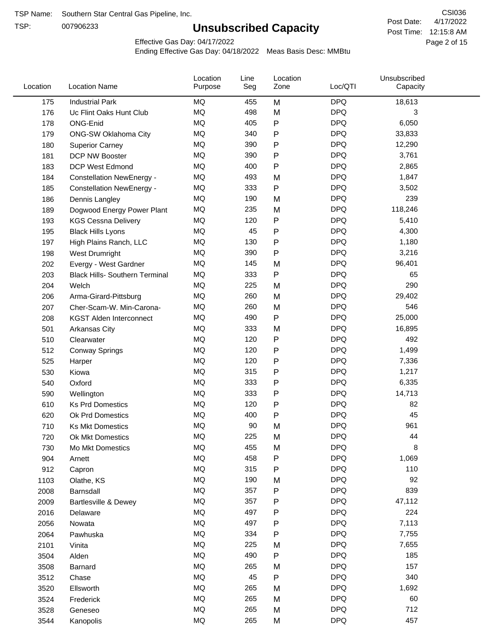TSP:

# **Unsubscribed Capacity**

4/17/2022 Page 2 of 15 Post Time: 12:15:8 AM CSI036 Post Date:

Effective Gas Day: 04/17/2022

| Location | <b>Location Name</b>                  | Location<br>Purpose | Line<br>Seg | Location<br>Zone | Loc/QTI    | Unsubscribed<br>Capacity |  |
|----------|---------------------------------------|---------------------|-------------|------------------|------------|--------------------------|--|
| 175      | <b>Industrial Park</b>                | <b>MQ</b>           | 455         | M                | <b>DPQ</b> | 18,613                   |  |
| 176      | Uc Flint Oaks Hunt Club               | MQ                  | 498         | M                | <b>DPQ</b> | 3                        |  |
| 178      | ONG-Enid                              | MQ                  | 405         | ${\sf P}$        | <b>DPQ</b> | 6,050                    |  |
| 179      | <b>ONG-SW Oklahoma City</b>           | MQ                  | 340         | P                | <b>DPQ</b> | 33,833                   |  |
| 180      | <b>Superior Carney</b>                | MQ                  | 390         | P                | <b>DPQ</b> | 12,290                   |  |
| 181      | DCP NW Booster                        | <b>MQ</b>           | 390         | P                | <b>DPQ</b> | 3,761                    |  |
| 183      | <b>DCP West Edmond</b>                | <b>MQ</b>           | 400         | P                | <b>DPQ</b> | 2,865                    |  |
| 184      | <b>Constellation NewEnergy -</b>      | MQ                  | 493         | M                | <b>DPQ</b> | 1,847                    |  |
| 185      | <b>Constellation NewEnergy -</b>      | MQ                  | 333         | $\mathsf{P}$     | <b>DPQ</b> | 3,502                    |  |
| 186      | Dennis Langley                        | MQ                  | 190         | M                | <b>DPQ</b> | 239                      |  |
| 189      | Dogwood Energy Power Plant            | MQ                  | 235         | M                | <b>DPQ</b> | 118,246                  |  |
| 193      | <b>KGS Cessna Delivery</b>            | MQ                  | 120         | ${\sf P}$        | <b>DPQ</b> | 5,410                    |  |
| 195      | <b>Black Hills Lyons</b>              | MQ                  | 45          | P                | <b>DPQ</b> | 4,300                    |  |
| 197      | High Plains Ranch, LLC                | <b>MQ</b>           | 130         | P                | <b>DPQ</b> | 1,180                    |  |
| 198      | West Drumright                        | <b>MQ</b>           | 390         | P                | <b>DPQ</b> | 3,216                    |  |
| 202      | Evergy - West Gardner                 | <b>MQ</b>           | 145         | M                | <b>DPQ</b> | 96,401                   |  |
| 203      | <b>Black Hills- Southern Terminal</b> | MQ                  | 333         | P                | <b>DPQ</b> | 65                       |  |
| 204      | Welch                                 | MQ                  | 225         | M                | <b>DPQ</b> | 290                      |  |
| 206      | Arma-Girard-Pittsburg                 | MQ                  | 260         | M                | <b>DPQ</b> | 29,402                   |  |
| 207      | Cher-Scam-W. Min-Carona-              | MQ                  | 260         | M                | <b>DPQ</b> | 546                      |  |
| 208      | <b>KGST Alden Interconnect</b>        | MQ                  | 490         | P                | <b>DPQ</b> | 25,000                   |  |
| 501      | <b>Arkansas City</b>                  | MQ                  | 333         | M                | <b>DPQ</b> | 16,895                   |  |
| 510      | Clearwater                            | <b>MQ</b>           | 120         | P                | <b>DPQ</b> | 492                      |  |
| 512      | <b>Conway Springs</b>                 | MQ                  | 120         | P                | <b>DPQ</b> | 1,499                    |  |
| 525      | Harper                                | <b>MQ</b>           | 120         | P                | <b>DPQ</b> | 7,336                    |  |
| 530      | Kiowa                                 | MQ                  | 315         | ${\sf P}$        | <b>DPQ</b> | 1,217                    |  |
| 540      | Oxford                                | MQ                  | 333         | P                | <b>DPQ</b> | 6,335                    |  |
| 590      | Wellington                            | <b>MQ</b>           | 333         | P                | <b>DPQ</b> | 14,713                   |  |
| 610      | <b>Ks Prd Domestics</b>               | <b>MQ</b>           | 120         | P                | <b>DPQ</b> | 82                       |  |
| 620      | Ok Prd Domestics                      | MQ                  | 400         | ${\sf P}$        | <b>DPQ</b> | 45                       |  |
| 710      | <b>Ks Mkt Domestics</b>               | MQ                  | 90          | M                | <b>DPQ</b> | 961                      |  |
| 720      | Ok Mkt Domestics                      | MQ                  | 225         | M                | <b>DPQ</b> | 44                       |  |
| 730      | Mo Mkt Domestics                      | MQ                  | 455         | M                | <b>DPQ</b> | 8                        |  |
| 904      | Arnett                                | $\sf{MQ}$           | 458         | P                | <b>DPQ</b> | 1,069                    |  |
| 912      | Capron                                | $\sf{MQ}$           | 315         | ${\sf P}$        | <b>DPQ</b> | 110                      |  |
| 1103     | Olathe, KS                            | $\sf{MQ}$           | 190         | M                | <b>DPQ</b> | 92                       |  |
| 2008     | Barnsdall                             | MQ                  | 357         | P                | <b>DPQ</b> | 839                      |  |
| 2009     | Bartlesville & Dewey                  | MQ                  | 357         | P                | <b>DPQ</b> | 47,112                   |  |
| 2016     | Delaware                              | MQ                  | 497         | P                | <b>DPQ</b> | 224                      |  |
| 2056     | Nowata                                | $\sf{MQ}$           | 497         | P                | <b>DPQ</b> | 7,113                    |  |
| 2064     | Pawhuska                              | MQ                  | 334         | $\mathsf{P}$     | <b>DPQ</b> | 7,755                    |  |
| 2101     | Vinita                                | MQ                  | 225         | M                | <b>DPQ</b> | 7,655                    |  |
| 3504     | Alden                                 | MQ                  | 490         | ${\sf P}$        | <b>DPQ</b> | 185                      |  |
| 3508     | Barnard                               | $\sf{MQ}$           | 265         | M                | <b>DPQ</b> | 157                      |  |
| 3512     | Chase                                 | MQ                  | 45          | P                | <b>DPQ</b> | 340                      |  |
| 3520     | Ellsworth                             | MQ                  | 265         | M                | <b>DPQ</b> | 1,692                    |  |
| 3524     | Frederick                             | MQ                  | 265         | M                | <b>DPQ</b> | 60                       |  |
| 3528     | Geneseo                               | MQ                  | 265         | M                | <b>DPQ</b> | 712                      |  |
| 3544     | Kanopolis                             | $\sf{MQ}$           | 265         | M                | <b>DPQ</b> | 457                      |  |
|          |                                       |                     |             |                  |            |                          |  |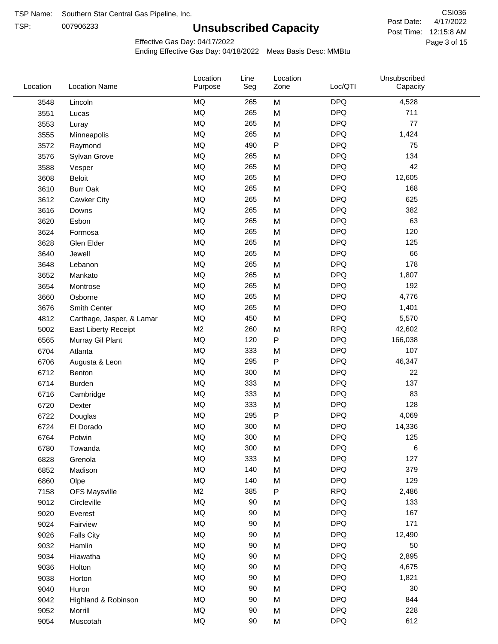TSP:

# **Unsubscribed Capacity**

4/17/2022 Page 3 of 15 Post Time: 12:15:8 AM CSI036 Post Date:

Effective Gas Day: 04/17/2022

| Location | <b>Location Name</b>      | Location<br>Purpose | Line<br>Seg | Location<br>Zone | Loc/QTI    | Unsubscribed<br>Capacity |  |
|----------|---------------------------|---------------------|-------------|------------------|------------|--------------------------|--|
| 3548     | Lincoln                   | MQ                  | 265         | M                | <b>DPQ</b> | 4,528                    |  |
| 3551     | Lucas                     | MQ                  | 265         | M                | <b>DPQ</b> | 711                      |  |
| 3553     | Luray                     | MQ                  | 265         | M                | <b>DPQ</b> | 77                       |  |
| 3555     | Minneapolis               | <b>MQ</b>           | 265         | M                | <b>DPQ</b> | 1,424                    |  |
| 3572     | Raymond                   | <b>MQ</b>           | 490         | $\mathsf{P}$     | <b>DPQ</b> | 75                       |  |
| 3576     | Sylvan Grove              | <b>MQ</b>           | 265         | M                | <b>DPQ</b> | 134                      |  |
| 3588     | Vesper                    | MQ                  | 265         | M                | <b>DPQ</b> | 42                       |  |
| 3608     | Beloit                    | MQ                  | 265         | M                | <b>DPQ</b> | 12,605                   |  |
| 3610     | <b>Burr Oak</b>           | MQ                  | 265         | M                | <b>DPQ</b> | 168                      |  |
| 3612     | Cawker City               | MQ                  | 265         | M                | <b>DPQ</b> | 625                      |  |
| 3616     | Downs                     | MQ                  | 265         | M                | <b>DPQ</b> | 382                      |  |
| 3620     | Esbon                     | MQ                  | 265         | M                | <b>DPQ</b> | 63                       |  |
| 3624     | Formosa                   | <b>MQ</b>           | 265         | M                | <b>DPQ</b> | 120                      |  |
| 3628     | Glen Elder                | <b>MQ</b>           | 265         | M                | <b>DPQ</b> | 125                      |  |
| 3640     | Jewell                    | MQ                  | 265         | M                | <b>DPQ</b> | 66                       |  |
| 3648     | Lebanon                   | MQ                  | 265         | M                | <b>DPQ</b> | 178                      |  |
| 3652     | Mankato                   | MQ                  | 265         | M                | <b>DPQ</b> | 1,807                    |  |
| 3654     | Montrose                  | <b>MQ</b>           | 265         | M                | <b>DPQ</b> | 192                      |  |
| 3660     | Osborne                   | <b>MQ</b>           | 265         | M                | <b>DPQ</b> | 4,776                    |  |
| 3676     | Smith Center              | MQ                  | 265         | M                | <b>DPQ</b> | 1,401                    |  |
| 4812     | Carthage, Jasper, & Lamar | <b>MQ</b>           | 450         | M                | <b>DPQ</b> | 5,570                    |  |
| 5002     | East Liberty Receipt      | M <sub>2</sub>      | 260         | M                | <b>RPQ</b> | 42,602                   |  |
| 6565     | Murray Gil Plant          | MQ                  | 120         | P                | <b>DPQ</b> | 166,038                  |  |
| 6704     | Atlanta                   | MQ                  | 333         | M                | <b>DPQ</b> | 107                      |  |
| 6706     | Augusta & Leon            | MQ                  | 295         | P                | <b>DPQ</b> | 46,347                   |  |
| 6712     | Benton                    | MQ                  | 300         | M                | <b>DPQ</b> | 22                       |  |
| 6714     | Burden                    | <b>MQ</b>           | 333         | M                | <b>DPQ</b> | 137                      |  |
| 6716     | Cambridge                 | MQ                  | 333         | M                | <b>DPQ</b> | 83                       |  |
| 6720     | Dexter                    | <b>MQ</b>           | 333         | M                | <b>DPQ</b> | 128                      |  |
| 6722     | Douglas                   | $\sf{MQ}$           | 295         | P                | <b>DPQ</b> | 4,069                    |  |
| 6724     | El Dorado                 | <b>MQ</b>           | 300         | M                | <b>DPQ</b> | 14,336                   |  |
| 6764     | Potwin                    | $\sf{MQ}$           | 300         | M                | <b>DPQ</b> | 125                      |  |
| 6780     | Towanda                   | MQ                  | 300         | M                | <b>DPQ</b> | 6                        |  |
| 6828     | Grenola                   | MQ                  | 333         | M                | <b>DPQ</b> | 127                      |  |
| 6852     | Madison                   | MQ                  | 140         | M                | <b>DPQ</b> | 379                      |  |
| 6860     | Olpe                      | MQ                  | 140         | M                | <b>DPQ</b> | 129                      |  |
| 7158     | <b>OFS Maysville</b>      | M <sub>2</sub>      | 385         | ${\sf P}$        | <b>RPQ</b> | 2,486                    |  |
| 9012     | Circleville               | MQ                  | 90          | M                | <b>DPQ</b> | 133                      |  |
| 9020     | Everest                   | $\sf{MQ}$           | 90          | M                | <b>DPQ</b> | 167                      |  |
| 9024     | Fairview                  | MQ                  | 90          | M                | <b>DPQ</b> | 171                      |  |
| 9026     | <b>Falls City</b>         | MQ                  | 90          | M                | <b>DPQ</b> | 12,490                   |  |
| 9032     | Hamlin                    | MQ                  | 90          | M                | <b>DPQ</b> | 50                       |  |
| 9034     | Hiawatha                  | MQ                  | 90          | M                | <b>DPQ</b> | 2,895                    |  |
| 9036     | Holton                    | MQ                  | 90          | M                | <b>DPQ</b> | 4,675                    |  |
| 9038     | Horton                    | MQ                  | 90          | M                | <b>DPQ</b> | 1,821                    |  |
| 9040     | Huron                     | MQ                  | 90          | M                | <b>DPQ</b> | 30                       |  |
| 9042     | Highland & Robinson       | MQ                  | 90          | M                | <b>DPQ</b> | 844                      |  |
| 9052     | Morrill                   | $\sf{MQ}$           | 90          | M                | <b>DPQ</b> | 228                      |  |
| 9054     | Muscotah                  | $\sf{MQ}$           | 90          | M                | <b>DPQ</b> | 612                      |  |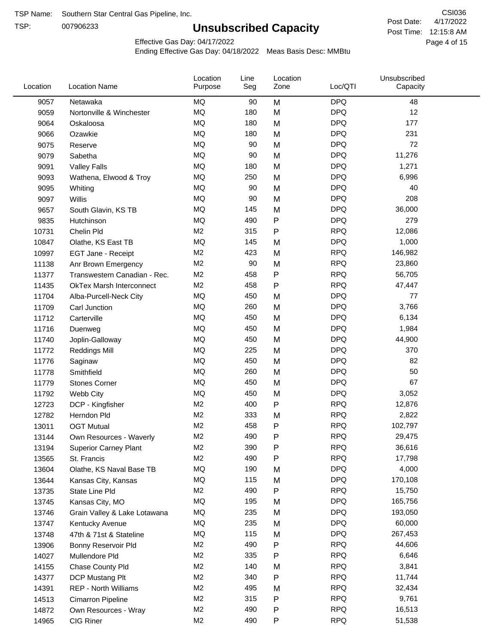TSP:

# **Unsubscribed Capacity**

4/17/2022 Page 4 of 15 Post Time: 12:15:8 AM CSI036 Post Date:

Effective Gas Day: 04/17/2022

| Location | <b>Location Name</b>            | Location<br>Purpose | Line<br>Seg | Location<br>Zone | Loc/QTI    | Unsubscribed<br>Capacity |  |
|----------|---------------------------------|---------------------|-------------|------------------|------------|--------------------------|--|
| 9057     | Netawaka                        | MQ                  | 90          | M                | <b>DPQ</b> | 48                       |  |
| 9059     | Nortonville & Winchester        | MQ                  | 180         | M                | <b>DPQ</b> | 12                       |  |
| 9064     | Oskaloosa                       | MQ                  | 180         | M                | <b>DPQ</b> | 177                      |  |
| 9066     | Ozawkie                         | MQ                  | 180         | M                | <b>DPQ</b> | 231                      |  |
| 9075     | Reserve                         | MQ                  | 90          | M                | <b>DPQ</b> | 72                       |  |
| 9079     | Sabetha                         | MQ                  | 90          | M                | <b>DPQ</b> | 11,276                   |  |
| 9091     | <b>Valley Falls</b>             | MQ                  | 180         | M                | <b>DPQ</b> | 1,271                    |  |
| 9093     | Wathena, Elwood & Troy          | MQ                  | 250         | M                | <b>DPQ</b> | 6,996                    |  |
| 9095     | Whiting                         | MQ                  | 90          | M                | <b>DPQ</b> | 40                       |  |
| 9097     | Willis                          | MQ                  | 90          | M                | <b>DPQ</b> | 208                      |  |
| 9657     | South Glavin, KS TB             | MQ                  | 145         | M                | <b>DPQ</b> | 36,000                   |  |
| 9835     | Hutchinson                      | MQ                  | 490         | P                | <b>DPQ</b> | 279                      |  |
| 10731    | Chelin Pld                      | M <sub>2</sub>      | 315         | P                | <b>RPQ</b> | 12,086                   |  |
| 10847    | Olathe, KS East TB              | MQ                  | 145         | M                | <b>DPQ</b> | 1,000                    |  |
| 10997    | EGT Jane - Receipt              | M <sub>2</sub>      | 423         | M                | <b>RPQ</b> | 146,982                  |  |
| 11138    | Anr Brown Emergency             | M <sub>2</sub>      | 90          | M                | <b>RPQ</b> | 23,860                   |  |
| 11377    | Transwestern Canadian - Rec.    | M <sub>2</sub>      | 458         | P                | <b>RPQ</b> | 56,705                   |  |
| 11435    | <b>OkTex Marsh Interconnect</b> | M <sub>2</sub>      | 458         | P                | <b>RPQ</b> | 47,447                   |  |
| 11704    | Alba-Purcell-Neck City          | MQ                  | 450         | M                | <b>DPQ</b> | 77                       |  |
| 11709    | Carl Junction                   | MQ                  | 260         | M                | <b>DPQ</b> | 3,766                    |  |
| 11712    | Carterville                     | MQ                  | 450         | M                | <b>DPQ</b> | 6,134                    |  |
| 11716    | Duenweg                         | MQ                  | 450         | M                | <b>DPQ</b> | 1,984                    |  |
| 11740    | Joplin-Galloway                 | MQ                  | 450         | M                | <b>DPQ</b> | 44,900                   |  |
| 11772    | <b>Reddings Mill</b>            | <b>MQ</b>           | 225         | M                | <b>DPQ</b> | 370                      |  |
| 11776    | Saginaw                         | MQ                  | 450         | M                | <b>DPQ</b> | 82                       |  |
| 11778    | Smithfield                      | MQ                  | 260         | M                | <b>DPQ</b> | 50                       |  |
| 11779    | <b>Stones Corner</b>            | MQ                  | 450         | M                | <b>DPQ</b> | 67                       |  |
| 11792    | Webb City                       | MQ                  | 450         | M                | <b>DPQ</b> | 3,052                    |  |
| 12723    | DCP - Kingfisher                | M <sub>2</sub>      | 400         | P                | <b>RPQ</b> | 12,876                   |  |
| 12782    | Herndon Pld                     | M <sub>2</sub>      | 333         | M                | <b>RPQ</b> | 2,822                    |  |
| 13011    | <b>OGT Mutual</b>               | M <sub>2</sub>      | 458         | P                | <b>RPQ</b> | 102,797                  |  |
| 13144    | Own Resources - Waverly         | M <sub>2</sub>      | 490         | P                | <b>RPQ</b> | 29,475                   |  |
| 13194    | <b>Superior Carney Plant</b>    | M <sub>2</sub>      | 390         | P                | <b>RPQ</b> | 36,616                   |  |
| 13565    | St. Francis                     | M <sub>2</sub>      | 490         | Ρ                | <b>RPQ</b> | 17,798                   |  |
| 13604    | Olathe, KS Naval Base TB        | MQ                  | 190         | M                | <b>DPQ</b> | 4,000                    |  |
| 13644    | Kansas City, Kansas             | MQ                  | 115         | M                | <b>DPQ</b> | 170,108                  |  |
| 13735    | State Line Pld                  | M <sub>2</sub>      | 490         | P                | <b>RPQ</b> | 15,750                   |  |
| 13745    | Kansas City, MO                 | MQ                  | 195         | M                | <b>DPQ</b> | 165,756                  |  |
| 13746    | Grain Valley & Lake Lotawana    | MQ                  | 235         | M                | <b>DPQ</b> | 193,050                  |  |
| 13747    | Kentucky Avenue                 | MQ                  | 235         | M                | <b>DPQ</b> | 60,000                   |  |
| 13748    | 47th & 71st & Stateline         | MQ                  | 115         | M                | <b>DPQ</b> | 267,453                  |  |
| 13906    | Bonny Reservoir Pld             | M <sub>2</sub>      | 490         | P                | <b>RPQ</b> | 44,606                   |  |
| 14027    | Mullendore Pld                  | M <sub>2</sub>      | 335         | Ρ                | <b>RPQ</b> | 6,646                    |  |
| 14155    | Chase County Pld                | M <sub>2</sub>      | 140         | M                | <b>RPQ</b> | 3,841                    |  |
| 14377    | DCP Mustang Plt                 | M <sub>2</sub>      | 340         | Ρ                | <b>RPQ</b> | 11,744                   |  |
| 14391    | <b>REP - North Williams</b>     | M <sub>2</sub>      | 495         | M                | <b>RPQ</b> | 32,434                   |  |
| 14513    | Cimarron Pipeline               | M <sub>2</sub>      | 315         | P                | <b>RPQ</b> | 9,761                    |  |
| 14872    | Own Resources - Wray            | M <sub>2</sub>      | 490         | P                | <b>RPQ</b> | 16,513                   |  |
| 14965    | CIG Riner                       | M <sub>2</sub>      | 490         | P                | <b>RPQ</b> | 51,538                   |  |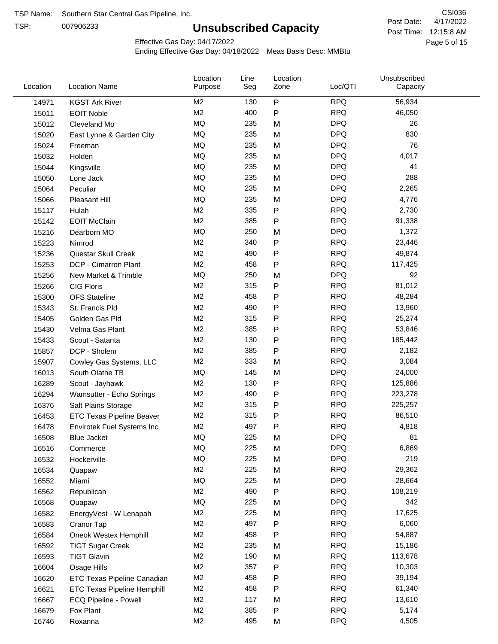TSP:

# **Unsubscribed Capacity**

4/17/2022 Page 5 of 15 Post Time: 12:15:8 AM CSI036 Post Date:

Effective Gas Day: 04/17/2022

| Location | <b>Location Name</b>               | Location<br>Purpose | Line<br>Seg | Location<br>Zone | Loc/QTI    | Unsubscribed<br>Capacity |  |
|----------|------------------------------------|---------------------|-------------|------------------|------------|--------------------------|--|
| 14971    | <b>KGST Ark River</b>              | M <sub>2</sub>      | 130         | P                | <b>RPQ</b> | 56,934                   |  |
| 15011    | <b>EOIT Noble</b>                  | M <sub>2</sub>      | 400         | P                | <b>RPQ</b> | 46,050                   |  |
| 15012    | Cleveland Mo                       | MQ                  | 235         | M                | <b>DPQ</b> | 26                       |  |
| 15020    | East Lynne & Garden City           | MQ                  | 235         | M                | <b>DPQ</b> | 830                      |  |
| 15024    | Freeman                            | MQ                  | 235         | M                | <b>DPQ</b> | 76                       |  |
| 15032    | Holden                             | MQ                  | 235         | M                | <b>DPQ</b> | 4,017                    |  |
| 15044    | Kingsville                         | MQ                  | 235         | M                | <b>DPQ</b> | 41                       |  |
| 15050    | Lone Jack                          | MQ                  | 235         | M                | <b>DPQ</b> | 288                      |  |
| 15064    | Peculiar                           | <b>MQ</b>           | 235         | M                | <b>DPQ</b> | 2,265                    |  |
| 15066    | Pleasant Hill                      | MQ                  | 235         | M                | <b>DPQ</b> | 4,776                    |  |
| 15117    | Hulah                              | M <sub>2</sub>      | 335         | P                | <b>RPQ</b> | 2,730                    |  |
| 15142    | <b>EOIT McClain</b>                | M <sub>2</sub>      | 385         | P                | <b>RPQ</b> | 91,338                   |  |
| 15216    | Dearborn MO                        | MQ                  | 250         | M                | <b>DPQ</b> | 1,372                    |  |
| 15223    | Nimrod                             | M <sub>2</sub>      | 340         | P                | <b>RPQ</b> | 23,446                   |  |
| 15236    | Questar Skull Creek                | M <sub>2</sub>      | 490         | P                | <b>RPQ</b> | 49,874                   |  |
| 15253    | DCP - Cimarron Plant               | M <sub>2</sub>      | 458         | Ρ                | <b>RPQ</b> | 117,425                  |  |
| 15256    | New Market & Trimble               | MQ                  | 250         | M                | <b>DPQ</b> | 92                       |  |
| 15266    | <b>CIG Floris</b>                  | M <sub>2</sub>      | 315         | Ρ                | <b>RPQ</b> | 81,012                   |  |
| 15300    | <b>OFS</b> Stateline               | M <sub>2</sub>      | 458         | Ρ                | <b>RPQ</b> | 48,284                   |  |
| 15343    | St. Francis Pld                    | M <sub>2</sub>      | 490         | Ρ                | <b>RPQ</b> | 13,960                   |  |
| 15405    | Golden Gas Pld                     | M <sub>2</sub>      | 315         | P                | <b>RPQ</b> | 25,274                   |  |
| 15430    | Velma Gas Plant                    | M <sub>2</sub>      | 385         | Ρ                | <b>RPQ</b> | 53,846                   |  |
| 15433    | Scout - Satanta                    | M <sub>2</sub>      | 130         | Ρ                | <b>RPQ</b> | 185,442                  |  |
| 15857    | DCP - Sholem                       | M <sub>2</sub>      | 385         | P                | <b>RPQ</b> | 2,182                    |  |
| 15907    | Cowley Gas Systems, LLC            | M <sub>2</sub>      | 333         | M                | <b>RPQ</b> | 3,084                    |  |
| 16013    | South Olathe TB                    | MQ                  | 145         | M                | <b>DPQ</b> | 24,000                   |  |
| 16289    | Scout - Jayhawk                    | M <sub>2</sub>      | 130         | Ρ                | <b>RPQ</b> | 125,886                  |  |
| 16294    | Wamsutter - Echo Springs           | M <sub>2</sub>      | 490         | Ρ                | <b>RPQ</b> | 223,278                  |  |
| 16376    | Salt Plains Storage                | M <sub>2</sub>      | 315         | Ρ                | <b>RPQ</b> | 225,257                  |  |
| 16453    | <b>ETC Texas Pipeline Beaver</b>   | M <sub>2</sub>      | 315         | P                | <b>RPQ</b> | 86,510                   |  |
| 16478    | Envirotek Fuel Systems Inc         | M <sub>2</sub>      | 497         | Ρ                | <b>RPQ</b> | 4,818                    |  |
| 16508    | Blue Jacket                        | MQ                  | 225         | М                | <b>DPQ</b> | 81                       |  |
| 16516    | Commerce                           | MQ                  | 225         | M                | <b>DPQ</b> | 6,869                    |  |
| 16532    | Hockerville                        | MQ                  | 225         | M                | <b>DPQ</b> | 219                      |  |
| 16534    | Quapaw                             | M <sub>2</sub>      | 225         | M                | <b>RPQ</b> | 29,362                   |  |
| 16552    | Miami                              | MQ                  | 225         | M                | <b>DPQ</b> | 28,664                   |  |
| 16562    | Republican                         | M <sub>2</sub>      | 490         | P                | <b>RPQ</b> | 108,219                  |  |
| 16568    | Quapaw                             | MQ                  | 225         | M                | <b>DPQ</b> | 342                      |  |
| 16582    | EnergyVest - W Lenapah             | M <sub>2</sub>      | 225         | M                | <b>RPQ</b> | 17,625                   |  |
| 16583    | Cranor Tap                         | M <sub>2</sub>      | 497         | P                | <b>RPQ</b> | 6,060                    |  |
| 16584    | Oneok Westex Hemphill              | M <sub>2</sub>      | 458         | Ρ                | <b>RPQ</b> | 54,887                   |  |
| 16592    | <b>TIGT Sugar Creek</b>            | M <sub>2</sub>      | 235         | M                | <b>RPQ</b> | 15,186                   |  |
| 16593    | <b>TIGT Glavin</b>                 | M <sub>2</sub>      | 190         | M                | <b>RPQ</b> | 113,678                  |  |
| 16604    | Osage Hills                        | M <sub>2</sub>      | 357         | Ρ                | <b>RPQ</b> | 10,303                   |  |
| 16620    | ETC Texas Pipeline Canadian        | M <sub>2</sub>      | 458         | Ρ                | <b>RPQ</b> | 39,194                   |  |
| 16621    | <b>ETC Texas Pipeline Hemphill</b> | M <sub>2</sub>      | 458         | Ρ                | <b>RPQ</b> | 61,340                   |  |
| 16667    | ECQ Pipeline - Powell              | M <sub>2</sub>      | 117         | M                | <b>RPQ</b> | 13,610                   |  |
| 16679    | Fox Plant                          | M <sub>2</sub>      | 385         | P                | <b>RPQ</b> | 5,174                    |  |
| 16746    | Roxanna                            | M <sub>2</sub>      | 495         | M                | <b>RPQ</b> | 4,505                    |  |
|          |                                    |                     |             |                  |            |                          |  |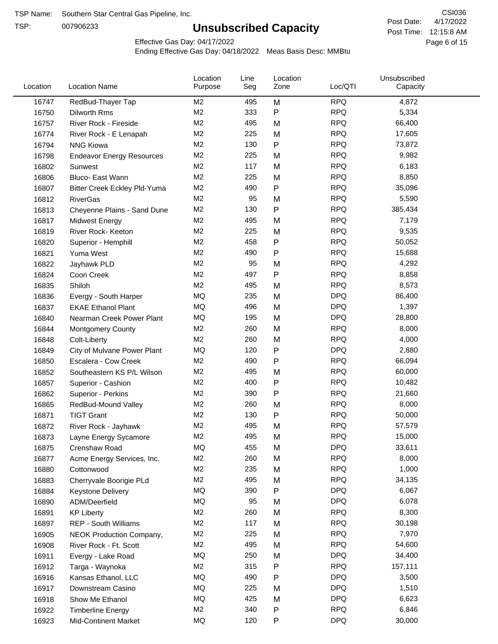TSP:

# **Unsubscribed Capacity**

4/17/2022 Page 6 of 15 Post Time: 12:15:8 AM CSI036 Post Date:

Effective Gas Day: 04/17/2022

| Location | <b>Location Name</b>             | Location<br>Purpose | Line<br>Seg | Location<br>Zone | Loc/QTI    | Unsubscribed<br>Capacity |  |
|----------|----------------------------------|---------------------|-------------|------------------|------------|--------------------------|--|
| 16747    | RedBud-Thayer Tap                | M <sub>2</sub>      | 495         | M                | <b>RPQ</b> | 4,872                    |  |
| 16750    | Dilworth Rms                     | M <sub>2</sub>      | 333         | P                | <b>RPQ</b> | 5,334                    |  |
| 16757    | River Rock - Fireside            | M <sub>2</sub>      | 495         | M                | <b>RPQ</b> | 66,400                   |  |
| 16774    | River Rock - E Lenapah           | M <sub>2</sub>      | 225         | M                | <b>RPQ</b> | 17,605                   |  |
| 16794    | <b>NNG Kiowa</b>                 | M <sub>2</sub>      | 130         | P                | <b>RPQ</b> | 73,872                   |  |
| 16798    | <b>Endeavor Energy Resources</b> | M <sub>2</sub>      | 225         | M                | <b>RPQ</b> | 9,982                    |  |
| 16802    | Sunwest                          | M <sub>2</sub>      | 117         | M                | <b>RPQ</b> | 6,183                    |  |
| 16806    | Bluco- East Wann                 | M <sub>2</sub>      | 225         | M                | <b>RPQ</b> | 8,850                    |  |
| 16807    | Bitter Creek Eckley Pld-Yuma     | M <sub>2</sub>      | 490         | Ρ                | <b>RPQ</b> | 35,096                   |  |
| 16812    | <b>RiverGas</b>                  | M <sub>2</sub>      | 95          | M                | <b>RPQ</b> | 5,590                    |  |
| 16813    | Cheyenne Plains - Sand Dune      | M <sub>2</sub>      | 130         | P                | <b>RPQ</b> | 385,434                  |  |
| 16817    | <b>Midwest Energy</b>            | M <sub>2</sub>      | 495         | M                | <b>RPQ</b> | 7,179                    |  |
| 16819    | River Rock- Keeton               | M <sub>2</sub>      | 225         | M                | <b>RPQ</b> | 9,535                    |  |
| 16820    | Superior - Hemphill              | M <sub>2</sub>      | 458         | Ρ                | <b>RPQ</b> | 50,052                   |  |
| 16821    | Yuma West                        | M <sub>2</sub>      | 490         | P                | <b>RPQ</b> | 15,688                   |  |
| 16822    | Jayhawk PLD                      | M <sub>2</sub>      | 95          | M                | <b>RPQ</b> | 4,292                    |  |
| 16824    | Coon Creek                       | M <sub>2</sub>      | 497         | P                | <b>RPQ</b> | 8,858                    |  |
| 16835    | Shiloh                           | M <sub>2</sub>      | 495         | M                | <b>RPQ</b> | 8,573                    |  |
| 16836    | Evergy - South Harper            | MQ                  | 235         | M                | <b>DPQ</b> | 86,400                   |  |
| 16837    | <b>EKAE Ethanol Plant</b>        | MQ                  | 496         | M                | <b>DPQ</b> | 1,397                    |  |
| 16840    | Nearman Creek Power Plant        | MQ                  | 195         | M                | <b>DPQ</b> | 28,800                   |  |
| 16844    | <b>Montgomery County</b>         | M <sub>2</sub>      | 260         | M                | <b>RPQ</b> | 8,000                    |  |
| 16848    | Colt-Liberty                     | M <sub>2</sub>      | 260         | M                | <b>RPQ</b> | 4,000                    |  |
| 16849    | City of Mulvane Power Plant      | MQ                  | 120         | P                | <b>DPQ</b> | 2,880                    |  |
| 16850    | Escalera - Cow Creek             | M <sub>2</sub>      | 490         | P                | <b>RPQ</b> | 66,094                   |  |
| 16852    | Southeastern KS P/L Wilson       | M <sub>2</sub>      | 495         | M                | <b>RPQ</b> | 60,000                   |  |
| 16857    | Superior - Cashion               | M <sub>2</sub>      | 400         | Ρ                | <b>RPQ</b> | 10,482                   |  |
| 16862    | Superior - Perkins               | M <sub>2</sub>      | 390         | Ρ                | <b>RPQ</b> | 21,660                   |  |
| 16865    | RedBud-Mound Valley              | M <sub>2</sub>      | 260         | M                | <b>RPQ</b> | 8,000                    |  |
| 16871    | <b>TIGT Grant</b>                | M <sub>2</sub>      | 130         | Ρ                | <b>RPQ</b> | 50,000                   |  |
| 16872    | River Rock - Jayhawk             | M <sub>2</sub>      | 495         | M                | <b>RPQ</b> | 57,579                   |  |
| 16873    | Layne Energy Sycamore            | M <sub>2</sub>      | 495         | M                | <b>RPQ</b> | 15,000                   |  |
| 16875    | Crenshaw Road                    | MQ                  | 455         | M                | <b>DPQ</b> | 33,611                   |  |
| 16877    | Acme Energy Services, Inc.       | M <sub>2</sub>      | 260         | M                | <b>RPQ</b> | 8,000                    |  |
| 16880    | Cottonwood                       | M <sub>2</sub>      | 235         | M                | <b>RPQ</b> | 1,000                    |  |
| 16883    | Cherryvale Boorigie PLd          | M <sub>2</sub>      | 495         | M                | <b>RPQ</b> | 34,135                   |  |
| 16884    | <b>Keystone Delivery</b>         | MQ                  | 390         | P                | <b>DPQ</b> | 6,067                    |  |
| 16890    | ADM/Deerfield                    | MQ                  | 95          | M                | <b>DPQ</b> | 6,078                    |  |
| 16891    | <b>KP Liberty</b>                | M <sub>2</sub>      | 260         | M                | <b>RPQ</b> | 8,300                    |  |
| 16897    | REP - South Williams             | M <sub>2</sub>      | 117         | M                | <b>RPQ</b> | 30,198                   |  |
| 16905    | NEOK Production Company,         | M <sub>2</sub>      | 225         | M                | <b>RPQ</b> | 7,970                    |  |
| 16908    | River Rock - Ft. Scott           | M <sub>2</sub>      | 495         | M                | <b>RPQ</b> | 54,600                   |  |
| 16911    | Evergy - Lake Road               | MQ                  | 250         | M                | <b>DPQ</b> | 34,400                   |  |
| 16912    | Targa - Waynoka                  | M <sub>2</sub>      | 315         | Ρ                | <b>RPQ</b> | 157,111                  |  |
| 16916    | Kansas Ethanol, LLC              | MQ                  | 490         | Ρ                | <b>DPQ</b> | 3,500                    |  |
| 16917    | Downstream Casino                | MQ                  | 225         | M                | <b>DPQ</b> | 1,510                    |  |
| 16918    | Show Me Ethanol                  | MQ                  | 425         | M                | <b>DPQ</b> | 6,623                    |  |
| 16922    | <b>Timberline Energy</b>         | M <sub>2</sub>      | 340         | Ρ                | <b>RPQ</b> | 6,846                    |  |
| 16923    | <b>Mid-Continent Market</b>      | MQ                  | 120         | P                | <b>DPQ</b> | 30,000                   |  |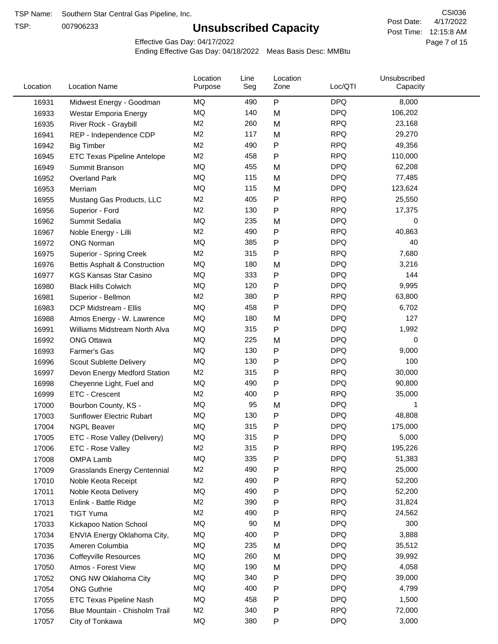TSP:

# **Unsubscribed Capacity**

4/17/2022 Page 7 of 15 Post Time: 12:15:8 AM CSI036 Post Date:

Effective Gas Day: 04/17/2022

| Location | <b>Location Name</b>                | Location<br>Purpose | Line<br>Seg | Location<br>Zone | Loc/QTI    | Unsubscribed<br>Capacity |  |
|----------|-------------------------------------|---------------------|-------------|------------------|------------|--------------------------|--|
| 16931    | Midwest Energy - Goodman            | MQ                  | 490         | P                | <b>DPQ</b> | 8,000                    |  |
| 16933    | Westar Emporia Energy               | MQ                  | 140         | M                | <b>DPQ</b> | 106,202                  |  |
| 16935    | River Rock - Graybill               | M <sub>2</sub>      | 260         | M                | <b>RPQ</b> | 23,168                   |  |
| 16941    | REP - Independence CDP              | M2                  | 117         | M                | <b>RPQ</b> | 29,270                   |  |
| 16942    | <b>Big Timber</b>                   | M <sub>2</sub>      | 490         | P                | <b>RPQ</b> | 49,356                   |  |
| 16945    | <b>ETC Texas Pipeline Antelope</b>  | M <sub>2</sub>      | 458         | Ρ                | <b>RPQ</b> | 110,000                  |  |
| 16949    | Summit Branson                      | MQ                  | 455         | M                | <b>DPQ</b> | 62,208                   |  |
| 16952    | <b>Overland Park</b>                | MQ                  | 115         | M                | <b>DPQ</b> | 77,485                   |  |
| 16953    | Merriam                             | MQ                  | 115         | M                | <b>DPQ</b> | 123,624                  |  |
| 16955    | Mustang Gas Products, LLC           | M <sub>2</sub>      | 405         | P                | <b>RPQ</b> | 25,550                   |  |
| 16956    | Superior - Ford                     | M <sub>2</sub>      | 130         | Ρ                | <b>RPQ</b> | 17,375                   |  |
| 16962    | Summit Sedalia                      | <b>MQ</b>           | 235         | M                | <b>DPQ</b> | 0                        |  |
| 16967    | Noble Energy - Lilli                | M <sub>2</sub>      | 490         | Ρ                | <b>RPQ</b> | 40,863                   |  |
| 16972    | <b>ONG Norman</b>                   | MQ                  | 385         | Ρ                | <b>DPQ</b> | 40                       |  |
| 16975    | Superior - Spring Creek             | M2                  | 315         | P                | <b>RPQ</b> | 7,680                    |  |
| 16976    | Bettis Asphalt & Construction       | MQ                  | 180         | M                | <b>DPQ</b> | 3,216                    |  |
| 16977    | <b>KGS Kansas Star Casino</b>       | MQ                  | 333         | Ρ                | <b>DPQ</b> | 144                      |  |
| 16980    | <b>Black Hills Colwich</b>          | MQ                  | 120         | Ρ                | <b>DPQ</b> | 9,995                    |  |
| 16981    | Superior - Bellmon                  | M <sub>2</sub>      | 380         | Ρ                | <b>RPQ</b> | 63,800                   |  |
| 16983    | DCP Midstream - Ellis               | MQ                  | 458         | Ρ                | <b>DPQ</b> | 6,702                    |  |
| 16988    | Atmos Energy - W. Lawrence          | MQ                  | 180         | M                | <b>DPQ</b> | 127                      |  |
| 16991    | Williams Midstream North Alva       | MQ                  | 315         | P                | <b>DPQ</b> | 1,992                    |  |
| 16992    | <b>ONG Ottawa</b>                   | MQ                  | 225         | M                | <b>DPQ</b> | 0                        |  |
| 16993    | Farmer's Gas                        | MQ                  | 130         | Ρ                | <b>DPQ</b> | 9,000                    |  |
| 16996    | Scout Sublette Delivery             | MQ                  | 130         | Ρ                | <b>DPQ</b> | 100                      |  |
| 16997    | Devon Energy Medford Station        | M <sub>2</sub>      | 315         | Ρ                | <b>RPQ</b> | 30,000                   |  |
| 16998    | Cheyenne Light, Fuel and            | MQ                  | 490         | Ρ                | <b>DPQ</b> | 90,800                   |  |
| 16999    | ETC - Crescent                      | M <sub>2</sub>      | 400         | P                | <b>RPQ</b> | 35,000                   |  |
| 17000    | Bourbon County, KS -                | MQ                  | 95          | M                | <b>DPQ</b> | 1                        |  |
| 17003    | Sunflower Electric Rubart           | MQ                  | 130         | Ρ                | <b>DPQ</b> | 48,808                   |  |
| 17004    | <b>NGPL Beaver</b>                  | MQ                  | 315         | Ρ                | <b>DPQ</b> | 175,000                  |  |
| 17005    | ETC - Rose Valley (Delivery)        | MQ                  | 315         | P                | <b>DPQ</b> | 5,000                    |  |
| 17006    | ETC - Rose Valley                   | M <sub>2</sub>      | 315         | Ρ                | <b>RPQ</b> | 195,226                  |  |
| 17008    | OMPA Lamb                           | MQ                  | 335         | Ρ                | <b>DPQ</b> | 51,383                   |  |
| 17009    | <b>Grasslands Energy Centennial</b> | M <sub>2</sub>      | 490         | Ρ                | <b>RPQ</b> | 25,000                   |  |
| 17010    | Noble Keota Receipt                 | M <sub>2</sub>      | 490         | Ρ                | <b>RPQ</b> | 52,200                   |  |
| 17011    | Noble Keota Delivery                | MQ                  | 490         | Ρ                | <b>DPQ</b> | 52,200                   |  |
| 17013    | Enlink - Battle Ridge               | M2                  | 390         | Ρ                | <b>RPQ</b> | 31,824                   |  |
| 17021    | <b>TIGT Yuma</b>                    | M <sub>2</sub>      | 490         | Ρ                | <b>RPQ</b> | 24,562                   |  |
| 17033    | Kickapoo Nation School              | MQ                  | 90          | M                | <b>DPQ</b> | 300                      |  |
| 17034    | ENVIA Energy Oklahoma City,         | MQ                  | 400         | Ρ                | <b>DPQ</b> | 3,888                    |  |
| 17035    | Ameren Columbia                     | MQ                  | 235         | M                | <b>DPQ</b> | 35,512                   |  |
| 17036    | <b>Coffeyville Resources</b>        | MQ                  | 260         | M                | <b>DPQ</b> | 39,992                   |  |
| 17050    | Atmos - Forest View                 | MQ                  | 190         | M                | <b>DPQ</b> | 4,058                    |  |
| 17052    | ONG NW Oklahoma City                | MQ                  | 340         | Ρ                | <b>DPQ</b> | 39,000                   |  |
| 17054    | <b>ONG Guthrie</b>                  | MQ                  | 400         | Ρ                | <b>DPQ</b> | 4,799                    |  |
| 17055    | ETC Texas Pipeline Nash             | MQ                  | 458         | Ρ                | <b>DPQ</b> | 1,500                    |  |
| 17056    | Blue Mountain - Chisholm Trail      | M <sub>2</sub>      | 340         | Ρ                | <b>RPQ</b> | 72,000                   |  |
| 17057    | City of Tonkawa                     | MQ                  | 380         | Ρ                | <b>DPQ</b> | 3,000                    |  |
|          |                                     |                     |             |                  |            |                          |  |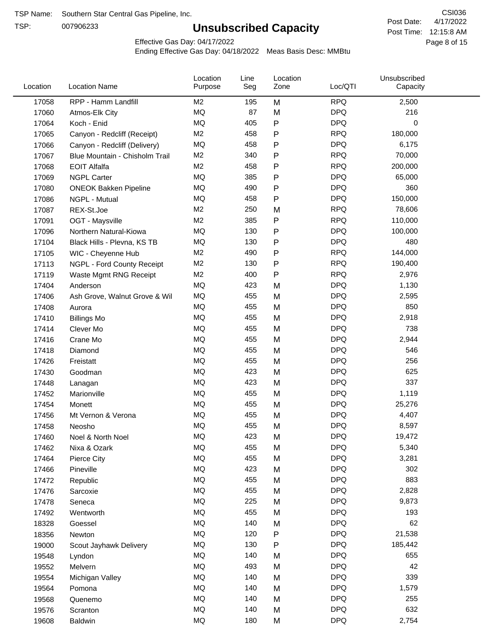TSP:

# **Unsubscribed Capacity**

4/17/2022 Page 8 of 15 Post Time: 12:15:8 AM CSI036 Post Date:

Effective Gas Day: 04/17/2022

| Location | <b>Location Name</b>           | Location<br>Purpose | Line<br>Seg | Location<br>Zone | Loc/QTI    | Unsubscribed<br>Capacity |  |
|----------|--------------------------------|---------------------|-------------|------------------|------------|--------------------------|--|
| 17058    | RPP - Hamm Landfill            | M <sub>2</sub>      | 195         | M                | <b>RPQ</b> | 2,500                    |  |
| 17060    | Atmos-Elk City                 | MQ                  | 87          | M                | <b>DPQ</b> | 216                      |  |
| 17064    | Koch - Enid                    | MQ                  | 405         | P                | <b>DPQ</b> | 0                        |  |
| 17065    | Canyon - Redcliff (Receipt)    | M <sub>2</sub>      | 458         | P                | <b>RPQ</b> | 180,000                  |  |
| 17066    | Canyon - Redcliff (Delivery)   | MQ                  | 458         | Ρ                | <b>DPQ</b> | 6,175                    |  |
| 17067    | Blue Mountain - Chisholm Trail | M <sub>2</sub>      | 340         | $\mathsf{P}$     | <b>RPQ</b> | 70,000                   |  |
| 17068    | <b>EOIT Alfalfa</b>            | M <sub>2</sub>      | 458         | $\mathsf{P}$     | <b>RPQ</b> | 200,000                  |  |
| 17069    | <b>NGPL Carter</b>             | <b>MQ</b>           | 385         | Ρ                | <b>DPQ</b> | 65,000                   |  |
| 17080    | <b>ONEOK Bakken Pipeline</b>   | MQ                  | 490         | P                | <b>DPQ</b> | 360                      |  |
| 17086    | NGPL - Mutual                  | <b>MQ</b>           | 458         | $\mathsf{P}$     | <b>DPQ</b> | 150,000                  |  |
| 17087    | REX-St.Joe                     | M <sub>2</sub>      | 250         | M                | <b>RPQ</b> | 78,606                   |  |
| 17091    | OGT - Maysville                | M <sub>2</sub>      | 385         | Ρ                | <b>RPQ</b> | 110,000                  |  |
| 17096    | Northern Natural-Kiowa         | <b>MQ</b>           | 130         | P                | <b>DPQ</b> | 100,000                  |  |
| 17104    | Black Hills - Plevna, KS TB    | MQ                  | 130         | P                | <b>DPQ</b> | 480                      |  |
| 17105    | WIC - Cheyenne Hub             | M <sub>2</sub>      | 490         | $\mathsf{P}$     | <b>RPQ</b> | 144,000                  |  |
| 17113    | NGPL - Ford County Receipt     | M <sub>2</sub>      | 130         | P                | <b>RPQ</b> | 190,400                  |  |
| 17119    | Waste Mgmt RNG Receipt         | M <sub>2</sub>      | 400         | $\mathsf{P}$     | <b>RPQ</b> | 2,976                    |  |
| 17404    | Anderson                       | MQ                  | 423         | M                | <b>DPQ</b> | 1,130                    |  |
| 17406    | Ash Grove, Walnut Grove & Wil  | MQ                  | 455         | M                | <b>DPQ</b> | 2,595                    |  |
| 17408    | Aurora                         | MQ                  | 455         | M                | <b>DPQ</b> | 850                      |  |
| 17410    | <b>Billings Mo</b>             | MQ                  | 455         | M                | <b>DPQ</b> | 2,918                    |  |
| 17414    | Clever Mo                      | MQ                  | 455         | M                | <b>DPQ</b> | 738                      |  |
| 17416    | Crane Mo                       | MQ                  | 455         | M                | <b>DPQ</b> | 2,944                    |  |
| 17418    | Diamond                        | <b>MQ</b>           | 455         | M                | <b>DPQ</b> | 546                      |  |
| 17426    | Freistatt                      | <b>MQ</b>           | 455         | M                | <b>DPQ</b> | 256                      |  |
| 17430    | Goodman                        | MQ                  | 423         | M                | <b>DPQ</b> | 625                      |  |
| 17448    | Lanagan                        | MQ                  | 423         | M                | <b>DPQ</b> | 337                      |  |
| 17452    | Marionville                    | MQ                  | 455         | M                | <b>DPQ</b> | 1,119                    |  |
| 17454    | Monett                         | MQ                  | 455         | M                | <b>DPQ</b> | 25,276                   |  |
| 17456    | Mt Vernon & Verona             | MQ                  | 455         | M                | <b>DPQ</b> | 4,407                    |  |
| 17458    | Neosho                         | <b>MQ</b>           | 455         | M                | <b>DPQ</b> | 8,597                    |  |
| 17460    | Noel & North Noel              | MQ                  | 423         | M                | <b>DPQ</b> | 19,472                   |  |
| 17462    | Nixa & Ozark                   | MQ                  | 455         | M                | <b>DPQ</b> | 5,340                    |  |
| 17464    | Pierce City                    | $\sf{MQ}$           | 455         | M                | <b>DPQ</b> | 3,281                    |  |
| 17466    | Pineville                      | $\sf{MQ}$           | 423         | M                | <b>DPQ</b> | 302                      |  |
| 17472    | Republic                       | MQ                  | 455         | M                | <b>DPQ</b> | 883                      |  |
| 17476    | Sarcoxie                       | MQ                  | 455         | M                | <b>DPQ</b> | 2,828                    |  |
| 17478    | Seneca                         | MQ                  | 225         | M                | <b>DPQ</b> | 9,873                    |  |
| 17492    | Wentworth                      | MQ                  | 455         | M                | <b>DPQ</b> | 193                      |  |
| 18328    | Goessel                        | MQ                  | 140         | M                | <b>DPQ</b> | 62                       |  |
| 18356    | Newton                         | MQ                  | 120         | Ρ                | <b>DPQ</b> | 21,538                   |  |
| 19000    | Scout Jayhawk Delivery         | MQ                  | 130         | Ρ                | <b>DPQ</b> | 185,442                  |  |
| 19548    | Lyndon                         | $\sf{MQ}$           | 140         | M                | <b>DPQ</b> | 655                      |  |
| 19552    | Melvern                        | $\sf{MQ}$           | 493         | M                | <b>DPQ</b> | 42                       |  |
| 19554    | Michigan Valley                | MQ                  | 140         | M                | <b>DPQ</b> | 339                      |  |
| 19564    | Pomona                         | MQ                  | 140         | M                | <b>DPQ</b> | 1,579                    |  |
| 19568    | Quenemo                        | MQ                  | 140         | M                | <b>DPQ</b> | 255                      |  |
| 19576    | Scranton                       | MQ                  | 140         | M                | <b>DPQ</b> | 632                      |  |
| 19608    | Baldwin                        | $\sf{MQ}$           | 180         | M                | <b>DPQ</b> | 2,754                    |  |
|          |                                |                     |             |                  |            |                          |  |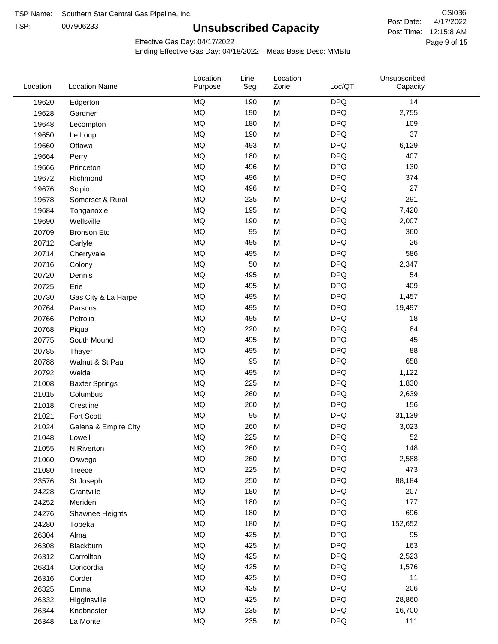TSP:

# **Unsubscribed Capacity**

4/17/2022 Page 9 of 15 Post Time: 12:15:8 AM CSI036 Post Date:

Effective Gas Day: 04/17/2022

| Location | <b>Location Name</b>  | Location<br>Purpose | Line<br>Seg | Location<br>Zone | Loc/QTI    | Unsubscribed<br>Capacity |  |
|----------|-----------------------|---------------------|-------------|------------------|------------|--------------------------|--|
| 19620    | Edgerton              | <b>MQ</b>           | 190         | M                | <b>DPQ</b> | 14                       |  |
| 19628    | Gardner               | MQ                  | 190         | M                | <b>DPQ</b> | 2,755                    |  |
| 19648    | Lecompton             | <b>MQ</b>           | 180         | M                | <b>DPQ</b> | 109                      |  |
| 19650    | Le Loup               | <b>MQ</b>           | 190         | M                | <b>DPQ</b> | 37                       |  |
| 19660    | Ottawa                | <b>MQ</b>           | 493         | M                | <b>DPQ</b> | 6,129                    |  |
| 19664    | Perry                 | <b>MQ</b>           | 180         | M                | <b>DPQ</b> | 407                      |  |
| 19666    | Princeton             | MQ                  | 496         | M                | <b>DPQ</b> | 130                      |  |
| 19672    | Richmond              | <b>MQ</b>           | 496         | M                | <b>DPQ</b> | 374                      |  |
| 19676    | Scipio                | MQ                  | 496         | M                | <b>DPQ</b> | 27                       |  |
| 19678    | Somerset & Rural      | MQ                  | 235         | M                | <b>DPQ</b> | 291                      |  |
| 19684    | Tonganoxie            | <b>MQ</b>           | 195         | M                | <b>DPQ</b> | 7,420                    |  |
| 19690    | Wellsville            | <b>MQ</b>           | 190         | M                | <b>DPQ</b> | 2,007                    |  |
| 20709    | <b>Bronson Etc</b>    | <b>MQ</b>           | 95          | M                | <b>DPQ</b> | 360                      |  |
| 20712    | Carlyle               | <b>MQ</b>           | 495         | M                | <b>DPQ</b> | 26                       |  |
| 20714    | Cherryvale            | <b>MQ</b>           | 495         | M                | <b>DPQ</b> | 586                      |  |
| 20716    | Colony                | MQ                  | 50          | M                | <b>DPQ</b> | 2,347                    |  |
| 20720    | Dennis                | MQ                  | 495         | M                | <b>DPQ</b> | 54                       |  |
| 20725    | Erie                  | MQ                  | 495         | M                | <b>DPQ</b> | 409                      |  |
| 20730    | Gas City & La Harpe   | MQ                  | 495         | M                | <b>DPQ</b> | 1,457                    |  |
| 20764    | Parsons               | <b>MQ</b>           | 495         | M                | <b>DPQ</b> | 19,497                   |  |
| 20766    | Petrolia              | <b>MQ</b>           | 495         | M                | <b>DPQ</b> | 18                       |  |
| 20768    | Piqua                 | <b>MQ</b>           | 220         | M                | <b>DPQ</b> | 84                       |  |
| 20775    | South Mound           | MQ                  | 495         | M                | <b>DPQ</b> | 45                       |  |
| 20785    | Thayer                | <b>MQ</b>           | 495         | M                | <b>DPQ</b> | 88                       |  |
| 20788    | Walnut & St Paul      | MQ                  | 95          | M                | <b>DPQ</b> | 658                      |  |
| 20792    | Welda                 | MQ                  | 495         | M                | <b>DPQ</b> | 1,122                    |  |
| 21008    | <b>Baxter Springs</b> | MQ                  | 225         | M                | <b>DPQ</b> | 1,830                    |  |
| 21015    | Columbus              | <b>MQ</b>           | 260         | M                | <b>DPQ</b> | 2,639                    |  |
| 21018    | Crestline             | <b>MQ</b>           | 260         | M                | <b>DPQ</b> | 156                      |  |
| 21021    | Fort Scott            | <b>MQ</b>           | 95          | M                | <b>DPQ</b> | 31,139                   |  |
| 21024    | Galena & Empire City  | <b>MQ</b>           | 260         | M                | <b>DPQ</b> | 3,023                    |  |
| 21048    | Lowell                | <b>MQ</b>           | 225         | M                | <b>DPQ</b> | 52                       |  |
| 21055    | N Riverton            | MQ                  | 260         | M                | <b>DPQ</b> | 148                      |  |
| 21060    | Oswego                | MQ                  | 260         | M                | <b>DPQ</b> | 2,588                    |  |
| 21080    | <b>Treece</b>         | MQ                  | 225         | M                | <b>DPQ</b> | 473                      |  |
| 23576    | St Joseph             | MQ                  | 250         | M                | <b>DPQ</b> | 88,184                   |  |
| 24228    | Grantville            | <b>MQ</b>           | 180         | M                | <b>DPQ</b> | 207                      |  |
| 24252    | Meriden               | MQ                  | 180         | M                | <b>DPQ</b> | 177                      |  |
| 24276    | Shawnee Heights       | MQ                  | 180         | M                | <b>DPQ</b> | 696                      |  |
| 24280    | Topeka                | MQ                  | 180         | M                | <b>DPQ</b> | 152,652                  |  |
| 26304    | Alma                  | MQ                  | 425         | M                | <b>DPQ</b> | 95                       |  |
| 26308    | Blackburn             | MQ                  | 425         | M                | <b>DPQ</b> | 163                      |  |
| 26312    | Carrollton            | MQ                  | 425         | M                | <b>DPQ</b> | 2,523                    |  |
| 26314    | Concordia             | <b>MQ</b>           | 425         | M                | <b>DPQ</b> | 1,576                    |  |
| 26316    | Corder                | <b>MQ</b>           | 425         | M                | <b>DPQ</b> | 11                       |  |
| 26325    | Emma                  | MQ                  | 425         | M                | <b>DPQ</b> | 206                      |  |
| 26332    | Higginsville          | MQ                  | 425         | M                | <b>DPQ</b> | 28,860                   |  |
| 26344    | Knobnoster            | $\sf{MQ}$           | 235         | M                | <b>DPQ</b> | 16,700                   |  |
| 26348    | La Monte              | $\sf{MQ}$           | 235         | M                | <b>DPQ</b> | 111                      |  |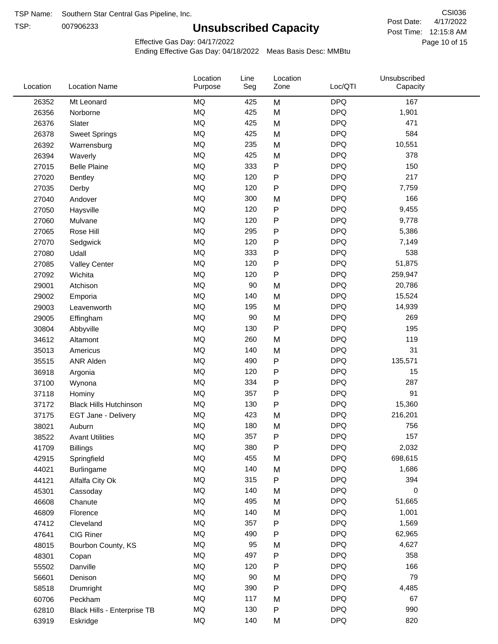TSP:

# **Unsubscribed Capacity**

4/17/2022 Page 10 of 15 Post Time: 12:15:8 AM CSI036 Post Date:

Unsubscribed

Effective Gas Day: 04/17/2022

Location

Ending Effective Gas Day: 04/18/2022 Meas Basis Desc: MMBtu

Line

Location

| Location | <b>Location Name</b>          | Purpose   | Seg | Zone         | Loc/QTI    | Capacity |  |
|----------|-------------------------------|-----------|-----|--------------|------------|----------|--|
| 26352    | Mt Leonard                    | MQ        | 425 | M            | <b>DPQ</b> | 167      |  |
| 26356    | Norborne                      | MQ        | 425 | M            | <b>DPQ</b> | 1,901    |  |
| 26376    | Slater                        | MQ        | 425 | M            | <b>DPQ</b> | 471      |  |
| 26378    | <b>Sweet Springs</b>          | MQ        | 425 | M            | <b>DPQ</b> | 584      |  |
| 26392    | Warrensburg                   | MQ        | 235 | M            | <b>DPQ</b> | 10,551   |  |
| 26394    | Waverly                       | MQ        | 425 | M            | <b>DPQ</b> | 378      |  |
| 27015    | <b>Belle Plaine</b>           | MQ        | 333 | P            | <b>DPQ</b> | 150      |  |
| 27020    | Bentley                       | MQ        | 120 | P            | <b>DPQ</b> | 217      |  |
| 27035    | Derby                         | MQ        | 120 | $\mathsf{P}$ | <b>DPQ</b> | 7,759    |  |
| 27040    | Andover                       | MQ        | 300 | M            | <b>DPQ</b> | 166      |  |
| 27050    | Haysville                     | MQ        | 120 | P            | <b>DPQ</b> | 9,455    |  |
| 27060    | Mulvane                       | MQ        | 120 | P            | <b>DPQ</b> | 9,778    |  |
| 27065    | Rose Hill                     | MQ        | 295 | P            | <b>DPQ</b> | 5,386    |  |
| 27070    | Sedgwick                      | MQ        | 120 | P            | <b>DPQ</b> | 7,149    |  |
| 27080    | Udall                         | MQ        | 333 | P            | <b>DPQ</b> | 538      |  |
| 27085    | <b>Valley Center</b>          | MQ        | 120 | P            | <b>DPQ</b> | 51,875   |  |
| 27092    | Wichita                       | MQ        | 120 | $\mathsf{P}$ | <b>DPQ</b> | 259,947  |  |
| 29001    | Atchison                      | MQ        | 90  | M            | <b>DPQ</b> | 20,786   |  |
| 29002    | Emporia                       | <b>MQ</b> | 140 | M            | <b>DPQ</b> | 15,524   |  |
| 29003    | Leavenworth                   | MQ        | 195 | M            | <b>DPQ</b> | 14,939   |  |
| 29005    | Effingham                     | MQ        | 90  | M            | <b>DPQ</b> | 269      |  |
| 30804    | Abbyville                     | MQ        | 130 | P            | <b>DPQ</b> | 195      |  |
| 34612    | Altamont                      | MQ        | 260 | M            | <b>DPQ</b> | 119      |  |
| 35013    | Americus                      | MQ        | 140 | M            | <b>DPQ</b> | 31       |  |
| 35515    | ANR Alden                     | MQ        | 490 | P            | <b>DPQ</b> | 135,571  |  |
| 36918    | Argonia                       | MQ        | 120 | P            | <b>DPQ</b> | 15       |  |
| 37100    | Wynona                        | MQ        | 334 | P            | <b>DPQ</b> | 287      |  |
| 37118    | Hominy                        | <b>MQ</b> | 357 | P            | <b>DPQ</b> | 91       |  |
| 37172    | <b>Black Hills Hutchinson</b> | <b>MQ</b> | 130 | P            | <b>DPQ</b> | 15,360   |  |
| 37175    | EGT Jane - Delivery           | MQ        | 423 | M            | <b>DPQ</b> | 216,201  |  |
| 38021    | Auburn                        | MQ        | 180 | M            | <b>DPQ</b> | 756      |  |
| 38522    | <b>Avant Utilities</b>        | MQ        | 357 | P            | <b>DPQ</b> | 157      |  |
| 41709    | <b>Billings</b>               | $\sf{MQ}$ | 380 | Ρ            | <b>DPQ</b> | 2,032    |  |
| 42915    | Springfield                   | MQ        | 455 | M            | <b>DPQ</b> | 698,615  |  |
| 44021    | <b>Burlingame</b>             | $\sf{MQ}$ | 140 | M            | <b>DPQ</b> | 1,686    |  |
| 44121    | Alfalfa City Ok               | MQ        | 315 | P            | <b>DPQ</b> | 394      |  |
| 45301    | Cassoday                      | MQ        | 140 | M            | <b>DPQ</b> | 0        |  |
| 46608    | Chanute                       | MQ        | 495 | M            | <b>DPQ</b> | 51,665   |  |
| 46809    | Florence                      | MQ        | 140 | M            | <b>DPQ</b> | 1,001    |  |
| 47412    | Cleveland                     | $\sf{MQ}$ | 357 | Ρ            | <b>DPQ</b> | 1,569    |  |
| 47641    | <b>CIG Riner</b>              | MQ        | 490 | Ρ            | <b>DPQ</b> | 62,965   |  |
| 48015    | Bourbon County, KS            | MQ        | 95  | M            | <b>DPQ</b> | 4,627    |  |
| 48301    | Copan                         | MQ        | 497 | P            | <b>DPQ</b> | 358      |  |
| 55502    | Danville                      | MQ        | 120 | P            | <b>DPQ</b> | 166      |  |
| 56601    | Denison                       | MQ        | 90  | M            | <b>DPQ</b> | 79       |  |
| 58518    | Drumright                     | MQ        | 390 | P            | <b>DPQ</b> | 4,485    |  |
| 60706    | Peckham                       | MQ        | 117 | M            | <b>DPQ</b> | 67       |  |
| 62810    | Black Hills - Enterprise TB   | MQ        | 130 | P            | <b>DPQ</b> | 990      |  |
| 63919    | Eskridge                      | $\sf{MQ}$ | 140 | M            | <b>DPQ</b> | 820      |  |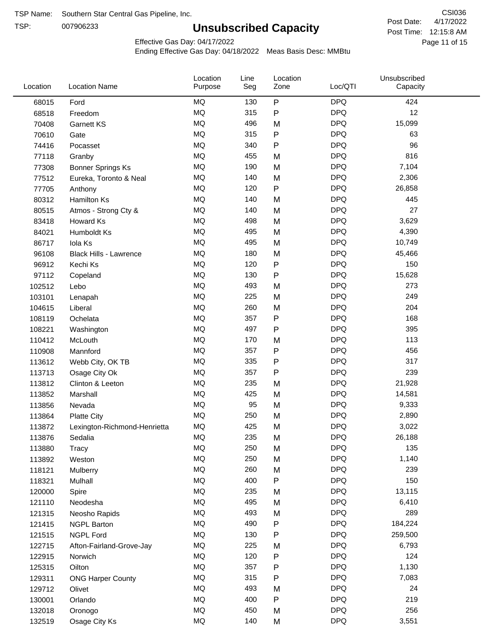TSP:

# **Unsubscribed Capacity**

4/17/2022 Page 11 of 15 Post Time: 12:15:8 AM CSI036 Post Date:

Effective Gas Day: 04/17/2022

| Location | <b>Location Name</b>          | Location<br>Purpose | Line<br>Seg | Location<br>Zone | Loc/QTI    | Unsubscribed<br>Capacity |  |
|----------|-------------------------------|---------------------|-------------|------------------|------------|--------------------------|--|
| 68015    | Ford                          | <b>MQ</b>           | 130         | P                | <b>DPQ</b> | 424                      |  |
| 68518    | Freedom                       | MQ                  | 315         | ${\sf P}$        | <b>DPQ</b> | 12                       |  |
| 70408    | Garnett KS                    | <b>MQ</b>           | 496         | M                | <b>DPQ</b> | 15,099                   |  |
| 70610    | Gate                          | <b>MQ</b>           | 315         | P                | <b>DPQ</b> | 63                       |  |
| 74416    | Pocasset                      | <b>MQ</b>           | 340         | P                | <b>DPQ</b> | 96                       |  |
| 77118    | Granby                        | <b>MQ</b>           | 455         | M                | <b>DPQ</b> | 816                      |  |
| 77308    | <b>Bonner Springs Ks</b>      | MQ                  | 190         | M                | <b>DPQ</b> | 7,104                    |  |
| 77512    | Eureka, Toronto & Neal        | MQ                  | 140         | M                | <b>DPQ</b> | 2,306                    |  |
| 77705    | Anthony                       | <b>MQ</b>           | 120         | P                | <b>DPQ</b> | 26,858                   |  |
| 80312    | <b>Hamilton Ks</b>            | <b>MQ</b>           | 140         | M                | <b>DPQ</b> | 445                      |  |
| 80515    | Atmos - Strong Cty &          | MQ                  | 140         | M                | <b>DPQ</b> | 27                       |  |
| 83418    | Howard Ks                     | <b>MQ</b>           | 498         | M                | <b>DPQ</b> | 3,629                    |  |
| 84021    | Humboldt Ks                   | <b>MQ</b>           | 495         | M                | <b>DPQ</b> | 4,390                    |  |
| 86717    | Iola Ks                       | <b>MQ</b>           | 495         | M                | <b>DPQ</b> | 10,749                   |  |
| 96108    | <b>Black Hills - Lawrence</b> | <b>MQ</b>           | 180         | M                | <b>DPQ</b> | 45,466                   |  |
| 96912    | Kechi Ks                      | MQ                  | 120         | P                | <b>DPQ</b> | 150                      |  |
| 97112    | Copeland                      | <b>MQ</b>           | 130         | P                | <b>DPQ</b> | 15,628                   |  |
| 102512   | Lebo                          | <b>MQ</b>           | 493         | M                | <b>DPQ</b> | 273                      |  |
| 103101   | Lenapah                       | <b>MQ</b>           | 225         | M                | <b>DPQ</b> | 249                      |  |
| 104615   | Liberal                       | MQ                  | 260         | M                | <b>DPQ</b> | 204                      |  |
| 108119   | Ochelata                      | <b>MQ</b>           | 357         | P                | <b>DPQ</b> | 168                      |  |
| 108221   | Washington                    | <b>MQ</b>           | 497         | P                | <b>DPQ</b> | 395                      |  |
| 110412   | McLouth                       | <b>MQ</b>           | 170         | M                | <b>DPQ</b> | 113                      |  |
| 110908   | Mannford                      | <b>MQ</b>           | 357         | P                | <b>DPQ</b> | 456                      |  |
| 113612   | Webb City, OK TB              | <b>MQ</b>           | 335         | P                | <b>DPQ</b> | 317                      |  |
| 113713   | Osage City Ok                 | <b>MQ</b>           | 357         | P                | <b>DPQ</b> | 239                      |  |
| 113812   | Clinton & Leeton              | <b>MQ</b>           | 235         | M                | <b>DPQ</b> | 21,928                   |  |
| 113852   | Marshall                      | <b>MQ</b>           | 425         | M                | <b>DPQ</b> | 14,581                   |  |
| 113856   | Nevada                        | <b>MQ</b>           | 95          | M                | <b>DPQ</b> | 9,333                    |  |
| 113864   | <b>Platte City</b>            | <b>MQ</b>           | 250         | M                | <b>DPQ</b> | 2,890                    |  |
| 113872   | Lexington-Richmond-Henrietta  | <b>MQ</b>           | 425         | M                | <b>DPQ</b> | 3,022                    |  |
| 113876   | Sedalia                       | MQ                  | 235         | Μ                | <b>DPQ</b> | 26,188                   |  |
| 113880   | Tracy                         | MQ                  | 250         | M                | <b>DPQ</b> | 135                      |  |
| 113892   | Weston                        | $\sf{MQ}$           | 250         | M                | <b>DPQ</b> | 1,140                    |  |
| 118121   | Mulberry                      | MQ                  | 260         | M                | <b>DPQ</b> | 239                      |  |
| 118321   | Mulhall                       | MQ                  | 400         | P                | <b>DPQ</b> | 150                      |  |
| 120000   | Spire                         | MQ                  | 235         | M                | <b>DPQ</b> | 13,115                   |  |
| 121110   | Neodesha                      | MQ                  | 495         | M                | <b>DPQ</b> | 6,410                    |  |
| 121315   | Neosho Rapids                 | $\sf{MQ}$           | 493         | M                | <b>DPQ</b> | 289                      |  |
| 121415   | <b>NGPL Barton</b>            | MQ                  | 490         | Ρ                | <b>DPQ</b> | 184,224                  |  |
| 121515   | <b>NGPL Ford</b>              | MQ                  | 130         | P                | <b>DPQ</b> | 259,500                  |  |
| 122715   | Afton-Fairland-Grove-Jay      | MQ                  | 225         | M                | <b>DPQ</b> | 6,793                    |  |
| 122915   | Norwich                       | MQ                  | 120         | P                | <b>DPQ</b> | 124                      |  |
| 125315   | Oilton                        | MQ                  | 357         | P                | <b>DPQ</b> | 1,130                    |  |
| 129311   | <b>ONG Harper County</b>      | MQ                  | 315         | P                | <b>DPQ</b> | 7,083                    |  |
| 129712   | Olivet                        | MQ                  | 493         | M                | <b>DPQ</b> | 24                       |  |
| 130001   | Orlando                       | MQ                  | 400         | P                | <b>DPQ</b> | 219                      |  |
| 132018   | Oronogo                       | $\sf{MQ}$           | 450         | M                | <b>DPQ</b> | 256                      |  |
| 132519   | Osage City Ks                 | $\sf{MQ}$           | 140         | M                | <b>DPQ</b> | 3,551                    |  |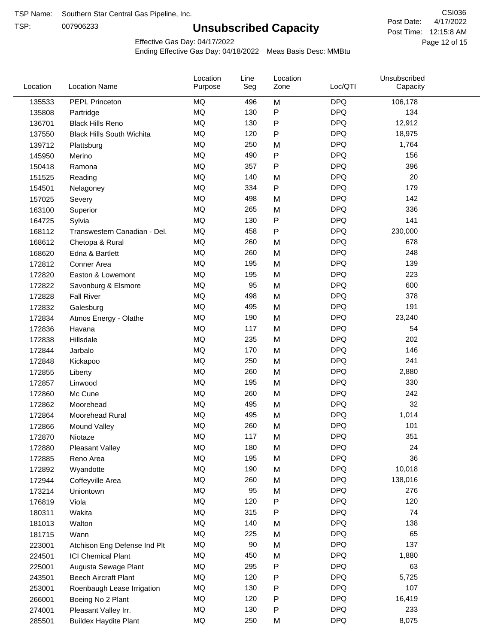TSP:

# **Unsubscribed Capacity**

4/17/2022 Page 12 of 15 Post Time: 12:15:8 AM CSI036 Post Date:

Effective Gas Day: 04/17/2022

| Location | <b>Location Name</b>             | Location<br>Purpose | Line<br>Seg | Location<br>Zone | Loc/QTI    | Unsubscribed<br>Capacity |  |
|----------|----------------------------------|---------------------|-------------|------------------|------------|--------------------------|--|
| 135533   | PEPL Princeton                   | MQ                  | 496         | M                | <b>DPQ</b> | 106,178                  |  |
| 135808   | Partridge                        | MQ                  | 130         | P                | <b>DPQ</b> | 134                      |  |
| 136701   | <b>Black Hills Reno</b>          | MQ                  | 130         | P                | <b>DPQ</b> | 12,912                   |  |
| 137550   | <b>Black Hills South Wichita</b> | MQ                  | 120         | P                | <b>DPQ</b> | 18,975                   |  |
| 139712   | Plattsburg                       | <b>MQ</b>           | 250         | M                | <b>DPQ</b> | 1,764                    |  |
| 145950   | Merino                           | <b>MQ</b>           | 490         | P                | <b>DPQ</b> | 156                      |  |
| 150418   | Ramona                           | <b>MQ</b>           | 357         | Ρ                | <b>DPQ</b> | 396                      |  |
| 151525   | Reading                          | <b>MQ</b>           | 140         | M                | <b>DPQ</b> | 20                       |  |
| 154501   | Nelagoney                        | MQ                  | 334         | P                | <b>DPQ</b> | 179                      |  |
| 157025   | Severy                           | <b>MQ</b>           | 498         | M                | <b>DPQ</b> | 142                      |  |
| 163100   | Superior                         | MQ                  | 265         | M                | <b>DPQ</b> | 336                      |  |
| 164725   | Sylvia                           | MQ                  | 130         | P                | <b>DPQ</b> | 141                      |  |
| 168112   | Transwestern Canadian - Del.     | <b>MQ</b>           | 458         | P                | <b>DPQ</b> | 230,000                  |  |
| 168612   | Chetopa & Rural                  | <b>MQ</b>           | 260         | M                | <b>DPQ</b> | 678                      |  |
| 168620   | Edna & Bartlett                  | <b>MQ</b>           | 260         | M                | <b>DPQ</b> | 248                      |  |
| 172812   | Conner Area                      | <b>MQ</b>           | 195         | M                | <b>DPQ</b> | 139                      |  |
| 172820   | Easton & Lowemont                | MQ                  | 195         | M                | <b>DPQ</b> | 223                      |  |
| 172822   | Savonburg & Elsmore              | MQ                  | 95          | M                | <b>DPQ</b> | 600                      |  |
| 172828   | <b>Fall River</b>                | <b>MQ</b>           | 498         | M                | <b>DPQ</b> | 378                      |  |
| 172832   | Galesburg                        | MQ                  | 495         | M                | <b>DPQ</b> | 191                      |  |
| 172834   | Atmos Energy - Olathe            | MQ                  | 190         | M                | <b>DPQ</b> | 23,240                   |  |
| 172836   | Havana                           | <b>MQ</b>           | 117         | M                | <b>DPQ</b> | 54                       |  |
| 172838   | Hillsdale                        | <b>MQ</b>           | 235         | M                | <b>DPQ</b> | 202                      |  |
| 172844   | Jarbalo                          | <b>MQ</b>           | 170         | M                | <b>DPQ</b> | 146                      |  |
| 172848   | Kickapoo                         | <b>MQ</b>           | 250         | M                | <b>DPQ</b> | 241                      |  |
| 172855   | Liberty                          | MQ                  | 260         | M                | <b>DPQ</b> | 2,880                    |  |
| 172857   | Linwood                          | <b>MQ</b>           | 195         | M                | <b>DPQ</b> | 330                      |  |
| 172860   | Mc Cune                          | <b>MQ</b>           | 260         | M                | <b>DPQ</b> | 242                      |  |
| 172862   | Moorehead                        | <b>MQ</b>           | 495         | M                | <b>DPQ</b> | 32                       |  |
| 172864   | Moorehead Rural                  | MQ                  | 495         | M                | <b>DPQ</b> | 1,014                    |  |
| 172866   | Mound Valley                     | <b>MQ</b>           | 260         | M                | <b>DPQ</b> | 101                      |  |
| 172870   | Niotaze                          | MQ                  | 117         | М                | <b>DPQ</b> | 351                      |  |
| 172880   | <b>Pleasant Valley</b>           | MQ                  | 180         | M                | <b>DPQ</b> | 24                       |  |
| 172885   | Reno Area                        | $\sf{MQ}$           | 195         | M                | <b>DPQ</b> | 36                       |  |
| 172892   | Wyandotte                        | MQ                  | 190         | M                | <b>DPQ</b> | 10,018                   |  |
| 172944   | Coffeyville Area                 | MQ                  | 260         | M                | <b>DPQ</b> | 138,016                  |  |
| 173214   | Uniontown                        | MQ                  | 95          | M                | <b>DPQ</b> | 276                      |  |
| 176819   | Viola                            | MQ                  | 120         | P                | <b>DPQ</b> | 120                      |  |
| 180311   | Wakita                           | MQ                  | 315         | Ρ                | <b>DPQ</b> | 74                       |  |
| 181013   | Walton                           | MQ                  | 140         | M                | <b>DPQ</b> | 138                      |  |
| 181715   | Wann                             | MQ                  | 225         | M                | <b>DPQ</b> | 65                       |  |
| 223001   | Atchison Eng Defense Ind Plt     | MQ                  | 90          | M                | <b>DPQ</b> | 137                      |  |
| 224501   | <b>ICI Chemical Plant</b>        | $\sf{MQ}$           | 450         | M                | <b>DPQ</b> | 1,880                    |  |
| 225001   | Augusta Sewage Plant             | MQ                  | 295         | Ρ                | <b>DPQ</b> | 63                       |  |
| 243501   | <b>Beech Aircraft Plant</b>      | MQ                  | 120         | P                | <b>DPQ</b> | 5,725                    |  |
| 253001   | Roenbaugh Lease Irrigation       | MQ                  | 130         | Ρ                | <b>DPQ</b> | 107                      |  |
| 266001   | Boeing No 2 Plant                | MQ                  | 120         | P                | <b>DPQ</b> | 16,419                   |  |
| 274001   | Pleasant Valley Irr.             | MQ                  | 130         | Ρ                | <b>DPQ</b> | 233                      |  |
| 285501   | <b>Buildex Haydite Plant</b>     | MQ                  | 250         | M                | <b>DPQ</b> | 8,075                    |  |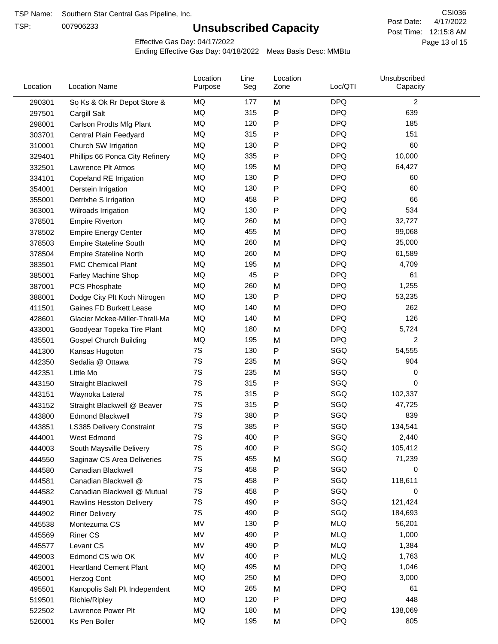TSP:

# **Unsubscribed Capacity**

4/17/2022 Page 13 of 15 Post Time: 12:15:8 AM CSI036 Post Date:

Effective Gas Day: 04/17/2022

| Location | <b>Location Name</b>            | Location<br>Purpose | Line<br>Seg | Location<br>Zone | Loc/QTI    | Unsubscribed<br>Capacity |  |
|----------|---------------------------------|---------------------|-------------|------------------|------------|--------------------------|--|
| 290301   | So Ks & Ok Rr Depot Store &     | MQ                  | 177         | M                | <b>DPQ</b> | $\overline{c}$           |  |
| 297501   | Cargill Salt                    | MQ                  | 315         | P                | <b>DPQ</b> | 639                      |  |
| 298001   | Carlson Prodts Mfg Plant        | MQ                  | 120         | Ρ                | <b>DPQ</b> | 185                      |  |
| 303701   | Central Plain Feedyard          | MQ                  | 315         | Ρ                | <b>DPQ</b> | 151                      |  |
| 310001   | Church SW Irrigation            | MQ                  | 130         | Ρ                | <b>DPQ</b> | 60                       |  |
| 329401   | Phillips 66 Ponca City Refinery | MQ                  | 335         | P                | <b>DPQ</b> | 10,000                   |  |
| 332501   | Lawrence Plt Atmos              | MQ                  | 195         | M                | <b>DPQ</b> | 64,427                   |  |
| 334101   | Copeland RE Irrigation          | MQ                  | 130         | P                | <b>DPQ</b> | 60                       |  |
| 354001   | Derstein Irrigation             | MQ                  | 130         | Ρ                | <b>DPQ</b> | 60                       |  |
| 355001   | Detrixhe S Irrigation           | MQ                  | 458         | Ρ                | <b>DPQ</b> | 66                       |  |
| 363001   | Wilroads Irrigation             | MQ                  | 130         | P                | <b>DPQ</b> | 534                      |  |
| 378501   | <b>Empire Riverton</b>          | MQ                  | 260         | M                | <b>DPQ</b> | 32,727                   |  |
| 378502   | <b>Empire Energy Center</b>     | MQ                  | 455         | M                | <b>DPQ</b> | 99,068                   |  |
| 378503   | <b>Empire Stateline South</b>   | MQ                  | 260         | M                | <b>DPQ</b> | 35,000                   |  |
| 378504   | <b>Empire Stateline North</b>   | MQ                  | 260         | M                | <b>DPQ</b> | 61,589                   |  |
| 383501   | <b>FMC Chemical Plant</b>       | MQ                  | 195         | M                | <b>DPQ</b> | 4,709                    |  |
| 385001   | Farley Machine Shop             | MQ                  | 45          | P                | <b>DPQ</b> | 61                       |  |
| 387001   | <b>PCS Phosphate</b>            | MQ                  | 260         | M                | <b>DPQ</b> | 1,255                    |  |
| 388001   | Dodge City Plt Koch Nitrogen    | MQ                  | 130         | Ρ                | <b>DPQ</b> | 53,235                   |  |
| 411501   | Gaines FD Burkett Lease         | MQ                  | 140         | M                | <b>DPQ</b> | 262                      |  |
| 428601   | Glacier Mckee-Miller-Thrall-Ma  | MQ                  | 140         | M                | <b>DPQ</b> | 126                      |  |
| 433001   | Goodyear Topeka Tire Plant      | MQ                  | 180         | M                | <b>DPQ</b> | 5,724                    |  |
| 435501   | <b>Gospel Church Building</b>   | MQ                  | 195         | M                | <b>DPQ</b> | 2                        |  |
| 441300   | Kansas Hugoton                  | 7S                  | 130         | Ρ                | SGQ        | 54,555                   |  |
| 442350   | Sedalia @ Ottawa                | 7S                  | 235         | M                | SGQ        | 904                      |  |
| 442351   | Little Mo                       | 7S                  | 235         | M                | SGQ        | 0                        |  |
| 443150   | <b>Straight Blackwell</b>       | 7S                  | 315         | P                | SGQ        | 0                        |  |
| 443151   | Waynoka Lateral                 | 7S                  | 315         | Ρ                | SGQ        | 102,337                  |  |
| 443152   | Straight Blackwell @ Beaver     | 7S                  | 315         | P                | SGQ        | 47,725                   |  |
| 443800   | <b>Edmond Blackwell</b>         | 7S                  | 380         | Ρ                | SGQ        | 839                      |  |
| 443851   | LS385 Delivery Constraint       | 7S                  | 385         | Ρ                | SGQ        | 134,541                  |  |
| 444001   | West Edmond                     | 7S                  | 400         | Ρ                | SGQ        | 2,440                    |  |
| 444003   | South Maysville Delivery        | 7S                  | 400         | Ρ                | SGQ        | 105,412                  |  |
| 444550   | Saginaw CS Area Deliveries      | 7S                  | 455         | M                | SGQ        | 71,239                   |  |
| 444580   | Canadian Blackwell              | 7S                  | 458         | Ρ                | SGQ        | 0                        |  |
| 444581   | Canadian Blackwell @            | 7S                  | 458         | Ρ                | SGQ        | 118,611                  |  |
| 444582   | Canadian Blackwell @ Mutual     | 7S                  | 458         | Ρ                | SGQ        | 0                        |  |
| 444901   | <b>Rawlins Hesston Delivery</b> | 7S                  | 490         | Ρ                | SGQ        | 121,424                  |  |
| 444902   | <b>Riner Delivery</b>           | 7S                  | 490         | Ρ                | SGQ        | 184,693                  |  |
| 445538   | Montezuma CS                    | MV                  | 130         | Ρ                | <b>MLQ</b> | 56,201                   |  |
| 445569   | <b>Riner CS</b>                 | MV                  | 490         | Ρ                | <b>MLQ</b> | 1,000                    |  |
| 445577   | Levant CS                       | MV                  | 490         | Ρ                | <b>MLQ</b> | 1,384                    |  |
| 449003   | Edmond CS w/o OK                | MV                  | 400         | P                | <b>MLQ</b> | 1,763                    |  |
| 462001   | <b>Heartland Cement Plant</b>   | MQ                  | 495         | M                | <b>DPQ</b> | 1,046                    |  |
| 465001   | Herzog Cont                     | MQ                  | 250         | M                | <b>DPQ</b> | 3,000                    |  |
| 495501   | Kanopolis Salt Plt Independent  | MQ                  | 265         | M                | <b>DPQ</b> | 61                       |  |
| 519501   | Richie/Ripley                   | MQ                  | 120         | Ρ                | <b>DPQ</b> | 448                      |  |
| 522502   | Lawrence Power Plt              | MQ                  | 180         | M                | <b>DPQ</b> | 138,069                  |  |
| 526001   | Ks Pen Boiler                   | MQ                  | 195         | M                | <b>DPQ</b> | 805                      |  |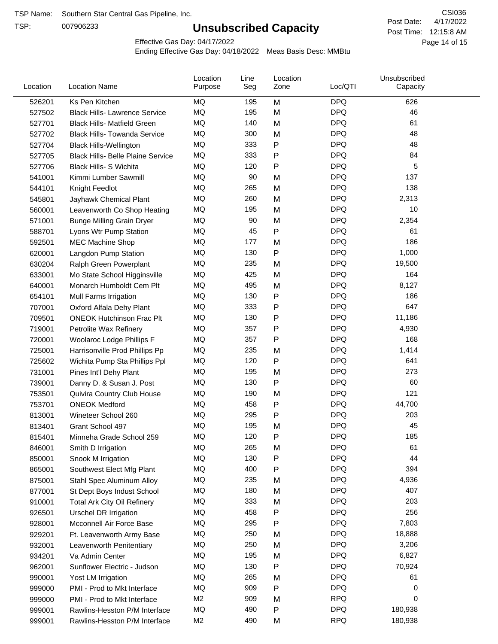TSP:

# **Unsubscribed Capacity**

4/17/2022 Page 14 of 15 Post Time: 12:15:8 AM CSI036 Post Date:

Effective Gas Day: 04/17/2022

| Location | <b>Location Name</b>                     | Location<br>Purpose | Line<br>Seg | Location<br>Zone | Loc/QTI    | Unsubscribed<br>Capacity |  |
|----------|------------------------------------------|---------------------|-------------|------------------|------------|--------------------------|--|
| 526201   | Ks Pen Kitchen                           | MQ                  | 195         | M                | <b>DPQ</b> | 626                      |  |
| 527502   | <b>Black Hills- Lawrence Service</b>     | MQ                  | 195         | M                | <b>DPQ</b> | 46                       |  |
| 527701   | <b>Black Hills- Matfield Green</b>       | MQ                  | 140         | M                | <b>DPQ</b> | 61                       |  |
| 527702   | <b>Black Hills- Towanda Service</b>      | MQ                  | 300         | M                | <b>DPQ</b> | 48                       |  |
| 527704   | <b>Black Hills-Wellington</b>            | MQ                  | 333         | Ρ                | <b>DPQ</b> | 48                       |  |
| 527705   | <b>Black Hills- Belle Plaine Service</b> | MQ                  | 333         | Ρ                | <b>DPQ</b> | 84                       |  |
| 527706   | <b>Black Hills- S Wichita</b>            | <b>MQ</b>           | 120         | P                | <b>DPQ</b> | 5                        |  |
| 541001   | Kimmi Lumber Sawmill                     | MQ                  | 90          | M                | <b>DPQ</b> | 137                      |  |
| 544101   | Knight Feedlot                           | MQ                  | 265         | M                | <b>DPQ</b> | 138                      |  |
| 545801   | Jayhawk Chemical Plant                   | MQ                  | 260         | M                | <b>DPQ</b> | 2,313                    |  |
| 560001   | Leavenworth Co Shop Heating              | MQ                  | 195         | M                | <b>DPQ</b> | 10                       |  |
| 571001   | <b>Bunge Milling Grain Dryer</b>         | MQ                  | 90          | M                | <b>DPQ</b> | 2,354                    |  |
| 588701   | Lyons Wtr Pump Station                   | MQ                  | 45          | P                | <b>DPQ</b> | 61                       |  |
| 592501   | <b>MEC Machine Shop</b>                  | MQ                  | 177         | M                | <b>DPQ</b> | 186                      |  |
| 620001   | Langdon Pump Station                     | MQ                  | 130         | P                | <b>DPQ</b> | 1,000                    |  |
| 630204   | Ralph Green Powerplant                   | MQ                  | 235         | M                | <b>DPQ</b> | 19,500                   |  |
| 633001   | Mo State School Higginsville             | MQ                  | 425         | M                | <b>DPQ</b> | 164                      |  |
| 640001   | Monarch Humboldt Cem Plt                 | MQ                  | 495         | M                | <b>DPQ</b> | 8,127                    |  |
| 654101   | Mull Farms Irrigation                    | MQ                  | 130         | P                | <b>DPQ</b> | 186                      |  |
| 707001   | Oxford Alfala Dehy Plant                 | MQ                  | 333         | Ρ                | <b>DPQ</b> | 647                      |  |
| 709501   | <b>ONEOK Hutchinson Frac Plt</b>         | MQ                  | 130         | Ρ                | <b>DPQ</b> | 11,186                   |  |
| 719001   | Petrolite Wax Refinery                   | <b>MQ</b>           | 357         | Ρ                | <b>DPQ</b> | 4,930                    |  |
| 720001   | Woolaroc Lodge Phillips F                | MQ                  | 357         | P                | <b>DPQ</b> | 168                      |  |
| 725001   | Harrisonville Prod Phillips Pp           | MQ                  | 235         | M                | <b>DPQ</b> | 1,414                    |  |
| 725602   | Wichita Pump Sta Phillips Ppl            | MQ                  | 120         | P                | <b>DPQ</b> | 641                      |  |
| 731001   | Pines Int'l Dehy Plant                   | MQ                  | 195         | M                | <b>DPQ</b> | 273                      |  |
| 739001   | Danny D. & Susan J. Post                 | MQ                  | 130         | P                | <b>DPQ</b> | 60                       |  |
| 753501   | Quivira Country Club House               | MQ                  | 190         | M                | <b>DPQ</b> | 121                      |  |
| 753701   | <b>ONEOK Medford</b>                     | MQ                  | 458         | P                | <b>DPQ</b> | 44,700                   |  |
| 813001   | Wineteer School 260                      | MQ                  | 295         | Ρ                | <b>DPQ</b> | 203                      |  |
| 813401   | Grant School 497                         | MQ                  | 195         | M                | <b>DPQ</b> | 45                       |  |
| 815401   | Minneha Grade School 259                 | MQ                  | 120         | P                | <b>DPQ</b> | 185                      |  |
| 846001   | Smith D Irrigation                       | MQ                  | 265         | M                | <b>DPQ</b> | 61                       |  |
| 850001   | Snook M Irrigation                       | MQ                  | 130         | ${\sf P}$        | <b>DPQ</b> | 44                       |  |
| 865001   | Southwest Elect Mfg Plant                | MQ                  | 400         | P                | <b>DPQ</b> | 394                      |  |
| 875001   | Stahl Spec Aluminum Alloy                | MQ                  | 235         | M                | <b>DPQ</b> | 4,936                    |  |
| 877001   | St Dept Boys Indust School               | MQ                  | 180         | M                | <b>DPQ</b> | 407                      |  |
| 910001   | <b>Total Ark City Oil Refinery</b>       | MQ                  | 333         | M                | <b>DPQ</b> | 203                      |  |
| 926501   | <b>Urschel DR Irrigation</b>             | MQ                  | 458         | P                | <b>DPQ</b> | 256                      |  |
| 928001   | Mcconnell Air Force Base                 | MQ                  | 295         | ${\sf P}$        | <b>DPQ</b> | 7,803                    |  |
| 929201   | Ft. Leavenworth Army Base                | MQ                  | 250         | M                | <b>DPQ</b> | 18,888                   |  |
| 932001   | Leavenworth Penitentiary                 | MQ                  | 250         | M                | <b>DPQ</b> | 3,206                    |  |
| 934201   | Va Admin Center                          | MQ                  | 195         | M                | <b>DPQ</b> | 6,827                    |  |
| 962001   | Sunflower Electric - Judson              | MQ                  | 130         | P                | <b>DPQ</b> | 70,924                   |  |
| 990001   | Yost LM Irrigation                       | MQ                  | 265         | M                | <b>DPQ</b> | 61                       |  |
| 999000   | PMI - Prod to Mkt Interface              | MQ                  | 909         | P                | <b>DPQ</b> | 0                        |  |
| 999000   | PMI - Prod to Mkt Interface              | M <sub>2</sub>      | 909         | M                | <b>RPQ</b> | 0                        |  |
| 999001   | Rawlins-Hesston P/M Interface            | MQ                  | 490         | P                | <b>DPQ</b> | 180,938                  |  |
| 999001   | Rawlins-Hesston P/M Interface            | M <sub>2</sub>      | 490         | M                | <b>RPQ</b> | 180,938                  |  |